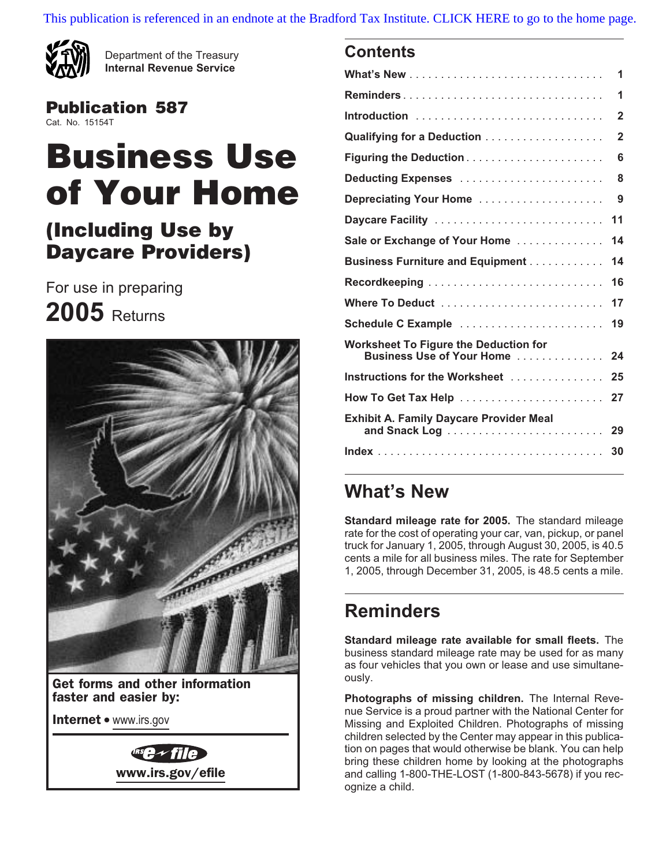[This publication is referenced in an endnote at the Bradford Tax Institute. CLICK HERE to go to the home page.](http://www.bradfordtaxinstitute.com/)



Department of the Treasury **Contents Internal Revenue Service** 

**Publication 587** Cat. No. 15154T

# **Business Use of Your Home**

# **(Including Use by Daycare Providers)**

# For use in preparing  $2005$  Returns



Get forms and other information and  $\frac{0 \text{usly.}}{0 \text{osy.}}$ 



|                                                                           | 1  |
|---------------------------------------------------------------------------|----|
| Reminders                                                                 | 1  |
|                                                                           | 2  |
| Qualifying for a Deduction                                                | 2  |
|                                                                           | 6  |
| Deducting Expenses                                                        | 8  |
| Depreciating Your Home                                                    | 9  |
| Daycare Facility                                                          | 11 |
| Sale or Exchange of Your Home                                             | 14 |
| <b>Business Furniture and Equipment</b>                                   | 14 |
|                                                                           | 16 |
| Where To Deduct                                                           | 17 |
| Schedule C Example                                                        | 19 |
| <b>Worksheet To Figure the Deduction for</b><br>Business Use of Your Home | 24 |
| Instructions for the Worksheet                                            | 25 |
| How To Get Tax Help                                                       | 27 |
| <b>Exhibit A. Family Daycare Provider Meal</b><br>and Snack Log           | 29 |
|                                                                           | 30 |

# **What's New**

**Standard mileage rate for 2005.** The standard mileage rate for the cost of operating your car, van, pickup, or panel truck for January 1, 2005, through August 30, 2005, is 40.5 cents a mile for all business miles. The rate for September 1, 2005, through December 31, 2005, is 48.5 cents a mile.

# **Reminders**

**Standard mileage rate available for small fleets.** The business standard mileage rate may be used for as many as four vehicles that you own or lease and use simultane-

Photographs of missing children. The Internal Reve-<br>nue Service is a proud partner with the National Center for Internet • www.irs.gov **Internet • www.irs.gov Missing and Exploited Children.** Photographs of missing children selected by the Center may appear in this publication on pages that would otherwise be blank. You can help bring these children home by looking at the photographs www.irs.gov/efile and calling 1-800-THE-LOST (1-800-843-5678) if you recognize a child.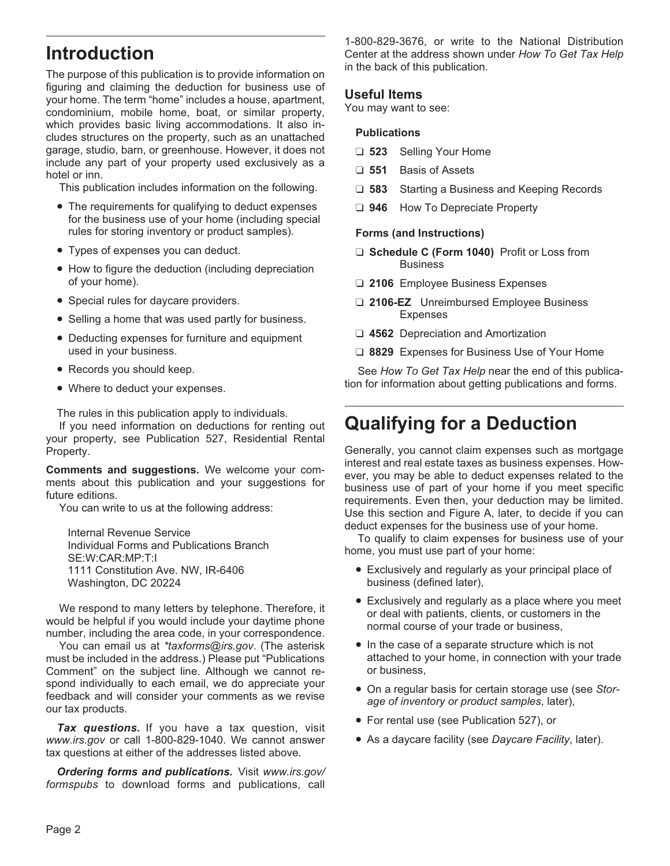The purpose of this publication is to provide information on figuring and claiming the deduction for business use of **Useful Items** your home. The term "home" includes a house, apartment, You may want to see: condominium, mobile home, boat, or similar property, which provides basic living accommodations. It also in-<br>
cludes structures on the property, such as an unattached<br> **Publications** garage, studio, barn, or greenhouse. However, it does not **□ 523** Selling Your Home include any part of your property used exclusively as a ❏ **<sup>551</sup>** Basis of Assets hotel or inn.

This publication includes information on the following. ❏ **583** Starting a Business and Keeping Records

- The requirements for qualifying to deduct expenses ❏ **946** How To Depreciate Property for the business use of your home (including special rules for storing inventory or product samples). **Forms (and Instructions)**
- 
- How to figure the deduction (including depreciation example of the Business of your home). ❏ **2106** Employee Business Expenses
- 
- Selling a home that was used partly for business. Expenses
- ❏ **<sup>4562</sup>** Depreciation and Amortization Deducting expenses for furniture and equipment
- 
- 

The rules in this publication apply to individuals.

your property, see Publication 527, Residential Rental

deduct expenses for the business use of your home.<br>
Individual Forms and Publications Branch To qualify to claim expenses for business use of your home.<br>
SE:W:CAR:MP:T:I<br>
1111 Constitution Ave. NW, IR-6406 Exclusively and Washington, DC 20224 business (defined later),

We respond to many letters by telephone. Therefore, it<br>would be helpful if you would include your daytime phone<br>number, including the area code, in your correspondence.<br>You can email us at *\*taxforms@irs.gov*. (The asteris

You can email us at *\*taxforms@irs.gov*. (The asterisk must be included in the address.) Please put "Publications attached to your home, in connection with your trade Comment" on the subject line. Although we cannot re- or business, spond individually to each email, we do appreciate your<br>feedback and will consider your comments as we revise<br>our tax products.<br>The products of the product of the product of the product of the product of the product of the

**Tax questions.** If you have a tax question, visit the firm and too to a tax case of the rental use the publication of the rental visit of the rental with you have a tax question, visit the rental of the carry with the pub *www.irs.gov* or call 1-800-829-1040. We cannot answer tax questions at either of the addresses listed above.

*Ordering forms and publications.* Visit *www.irs.gov/ formspubs* to download forms and publications, call

1-800-829-3676, or write to the National Distribution **Introduction**<br>
Center at the address shown under *How To Get Tax Help*<br>
in the back of this publication.

- 
- 
- 
- 

- Types of expenses you can deduct. ❏ **Schedule C (Form 1040)** Profit or Loss from
	-
- Special rules for daycare providers. ❏ **2106-EZ** Unreimbursed Employee Business
	-
	- □ 8829 Expenses for Business Use of Your Home

• Records you should keep. The state of the see *How To Get Tax Help* near the end of this publication for information about getting publications and forms. • Where to deduct your expenses.

## If you need information on deductions for renting out **Qualifying for a Deduction**

Property.<br>Generally, you cannot claim expenses such as mortgage<br>nterest and real estate taxes as business expenses. How-**Comments and suggestions.** We welcome your com-<br>ments about this publication and your suggestions for<br>future editions.<br>You can write to us at the following address:<br>You can write to us at the following address:<br>View this

- Exclusively and regularly as your principal place of
- 
- 
- 
- 
-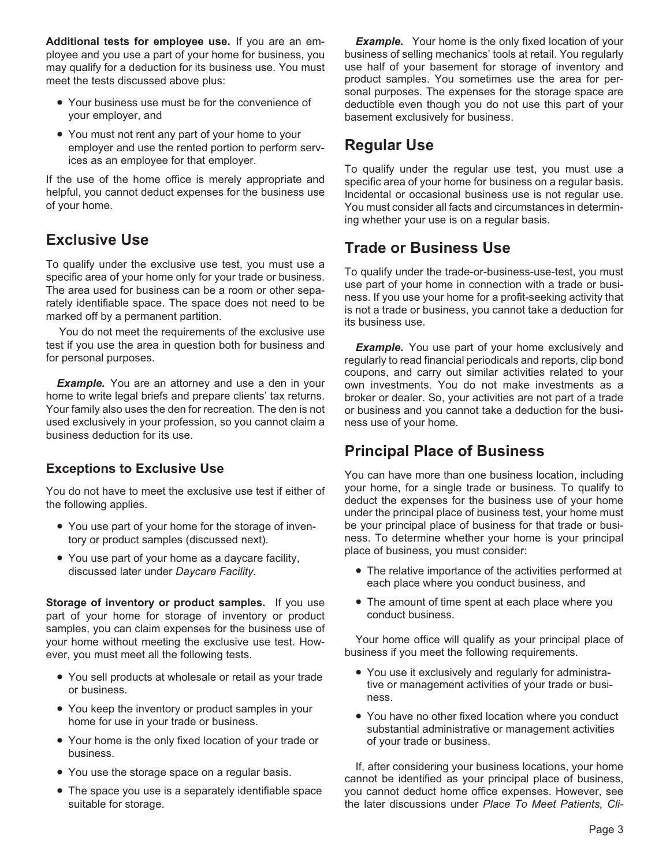**Additional tests for employee use.** If you are an em- *Example.* Your home is the only fixed location of your ployee and you use a part of your home for business, you business of selling mechanics' tools at retail. You regularly may qualify for a deduction for its business use. You must meet the tests discussed above plus: product samples. You sometimes use the area for per-

- your employer, and basement exclusively for business.
- You must not rent any part of your home to your employer and use the rented portion to perform serv- **Regular Use**

helpful, you cannot deduct expenses for the business use Incidental or occasional business use is not regular use.

To qualify under the exclusive use test, you must use a<br>specific area of your home only for your trade or business.<br>The area used for business can be a room or other separately identifiable space. The space does not need t

You do not meet the requirements of the exclusive use test if you use the area in question both for business and **Example.** You use part of your home exclusively and for personal purposes.

home to write legal briefs and prepare clients' tax returns. broker or dealer. So, your activities are not part of a trade Your family also uses the den for recreation. The den is not or business and you cannot take a deduction for the busiused exclusively in your profession, so you cannot claim a ness use of your home. business deduction for its use.

- 
- You use part of your home as a daycare facility,

**Storage of inventory or product samples.** If you use • The amount of time spent at each place where you part of your home for storage of inventory or product conduct business. samples, you can claim expenses for the business use of your home without meeting the exclusive use test. How-<br>ever you must meet all the following tests<br>business if you meet the following requirements. ever, you must meet all the following tests.

- 
- 
- Your home is the only fixed location of your trade or of your trade or business. business.
- 
- 

sonal purposes. The expenses for the storage space are<br>Your business use must be for the convenience of deductible even though you do not use this part of your

ices as an employee for that employer.<br>If the use of the home office is merely appropriate and<br>helpful, you cannot deduct expenses for the business use incidental or occasional business use is not regular use. You must consider all facts and circumstances in determining whether your use is on a regular basis.

# **Exclusive Use Trade or Business Use**

regularly to read financial periodicals and reports, clip bond coupons, and carry out similar activities related to your **Example.** You are an attorney and use a den in your own investments. You do not make investments as a

### **Principal Place of Business**

**Exceptions to Exclusive Use**<br>
You can have more than one business location, including You do not have to meet the exclusive use test if either of your home, for a single trade or business. To qualify to deduct the expenses for the business use of your home the following applies.<br>under the principal place of business test, your home must<br>under the principal place of business test, your home must • You use part of your home for the storage of inven- be your principal place of business for that trade or busitory or product samples (discussed next).<br>
place of business, you must consider:<br>
your principal place of business, you must consider:

- discussed later under *Daycare Facility.* The relative importance of the activities performed at each place where you conduct business, and
	-

- You sell products at wholesale or retail as your trade  $\bullet$  You use it exclusively and regularly for administra-<br>or business. ness.
- You keep the inventory or product samples in your You have no other fixed location where you conduct<br>home for use in your trade or business.

If, after considering your business locations, your home • You use the storage space on a regular basis. cannot be identified as your principal place of business, • The space you use is a separately identifiable space you cannot deduct home office expenses. However, see suitable for storage. The later discussions under *Place To Meet Patients*, *Cli-*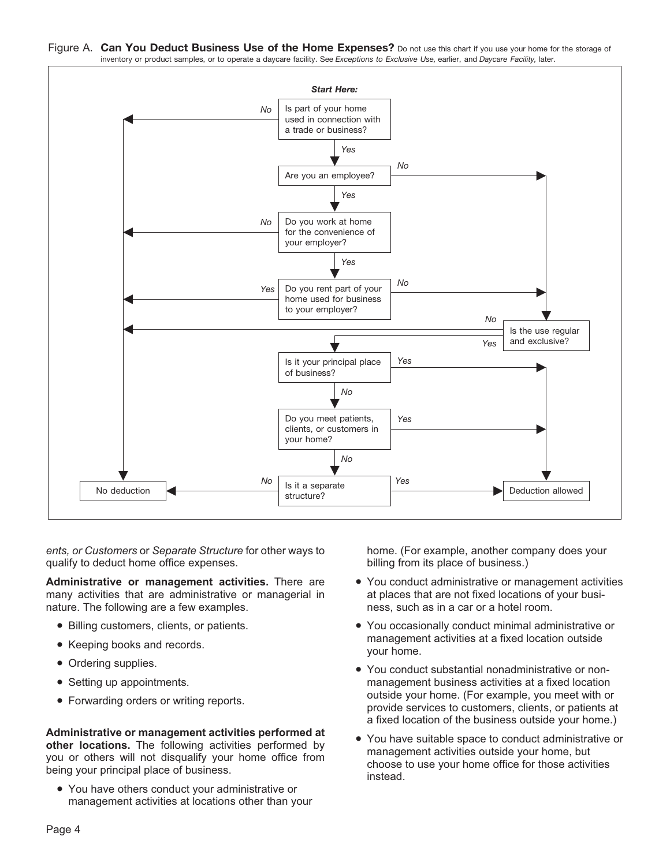

*ents, or Customers* or *Separate Structure* for other ways to home. (For example, another company does your qualify to deduct home office expenses.  $\qquad \qquad$  billing from its place of business.)

**Administrative or management activities.** There are • You conduct administrative or management activities many activities that are administrative or managerial in at places that are not fixed locations of your businature. The following are a few examples. The such as in a car or a hotel room.

- 
- 
- 
- 
- 

**Administrative or management activities performed at**<br>
other locations. The following activities performed by<br>
you or others will not disqualify your home office from<br>
being your principal place of business.<br>
lead.

• You have others conduct your administrative or management activities at locations other than your

- 
- Billing customers, clients, or patients. • You occasionally conduct minimal administrative or management activities at a fixed location outside • Keeping books and records. your home.
- Ordering supplies.<br>• You conduct substantial nonadministrative or non-• Setting up appointments. The management business activities at a fixed location outside your home. (For example, you meet with or • Forwarding orders or writing reports. provide services to customers, clients, or patients at a fixed location of the business outside your home.)
	-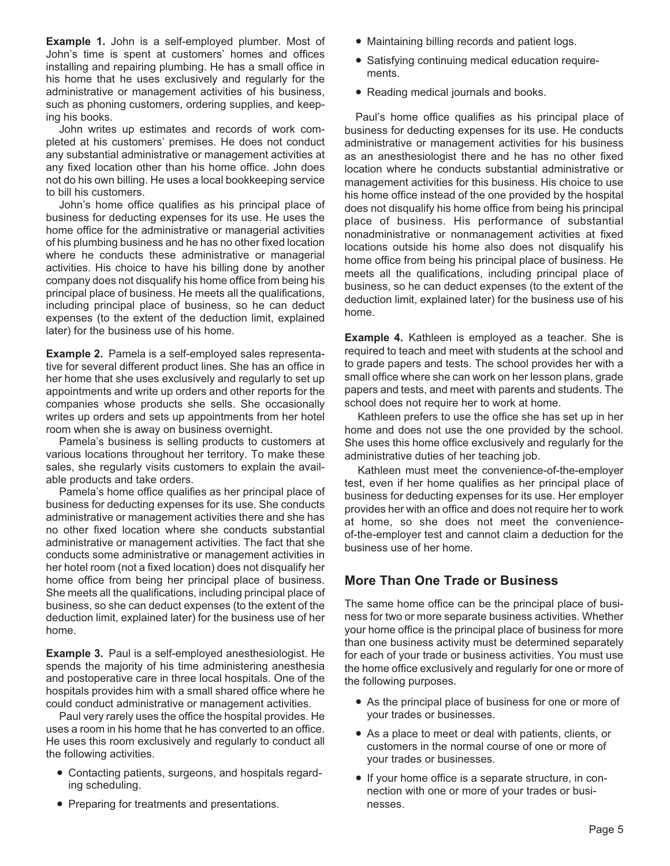**Example 1.** John is a self-employed plumber. Most of • Maintaining billing records and patient logs. John's time is spent at customers' homes and offices<br>installing and repairing plumbing. He has a small office in<br>his home that he uses exclusively and regularly for the<br>ments. administrative or management activities of his business, **•** Reading medical journals and books. such as phoning customers, ordering supplies, and keeping his books. Paul's home office qualifies as his principal place of

pleted at his customers' premises. He does not conduct administrative or management activities for his business<br>any substantial administrative or management activities at as an anesthesiologist there and he has no other fi any substantial administrative or management activities at as an anesthesiologist there and he has no other fixed<br>any fixed location other than his home office. John does location where he conducts substantial administrati not do his own billing. He uses a local bookkeeping service management activities for this business. His choice to use<br>to bill his customers.

tive for several different product lines. She has an office in to grade papers and tests. The school provides her with a<br>her home that she uses exclusively and requiarly to set up small office where she can work on her les her home that she uses exclusively and regularly to set up small office where she can work on her lesson plans, grade<br>appointments and write up orders and other reports for the papers and tests, and meet with parents and s appointments and write up orders and other reports for the papers and tests, and meet with parents and student<br>companies whose products she sells. She occasionally school does not require her to work at home. companies whose products she sells. She occasionally writes up orders and sets up appointments from her hotel Kathleen prefers to use the office she has set up in her

various locations throughout her territory. To make these administrative duties of her teaching job.<br>sales, she regularly visits customers to explain the avail-

her hotel room (not a fixed location) does not disqualify her home office from being her principal place of business. **More Than One Trade or Business** She meets all the qualifications, including principal place of business, so she can deduct expenses (to the extent of the The same home office can be the principal place of busideduction limit, explained later) for the business use of her ness for two or more separate business activities. Whether<br>your home office is the principal place of business for more

**Example 3.** Paul is a self-employed anesthesiologist. He for each of your trade or business activities. You must use<br>spends the majority of his time administering anesthesia<br>the home office exclusively and requiarly for o spends the majority of his time administering anesthesia the home office exclusively and regularly for one or more of and postoperative care in three local hospitals. One of the the following purposes.<br>hospitals provides h

Paul very rarely uses the office the hospital provides. He uses a room in his home that he has converted to an office.<br>He uses this room exclusively and regularly to conduct all<br>the following activities.<br>wour trades or businesses.<br>your trades or businesses.

- Contacting patients, surgeons, and hospitals regard-<br>ing scheduling.<br>nection with one or more of your trades or busi-
- Preparing for treatments and presentations. The resses.
- 
- 
- 

John writes up estimates and records of work com- business for deducting expenses for its use. He conducts location where he conducts substantial administrative or to bill his customers.<br>
John's home office qualifies as his principal place of<br>
business for detail the does not disqualify his home office from being his principal<br>
business for deduction<br>
business of despective of the ad

later) for the business use of his home. **Example 4.** Kathleen is employed as a teacher. She is **Example 2.** Pamela is a self-employed sales representa-<br>tive for several different product lines. She has an office in to grade papers and tests. The school provides her with a

room when she is away on business overnight.<br>Pamela's business is selling products to customers at She uses this home office exclusively and requiarly for the She uses this home office exclusively and regularly for the

sales, she regularly visits customers to explain the avail-<br>able products and take orders.<br>Pamela's home office qualifies as her principal place of<br>business for deducting expenses for its use. She conducts<br>business for ded

your home office is the principal place of business for more than one business activity must be determined separately

- could conduct administrative or management activities.<br>Paul very rarely uses the office the hospital provides. He your trades or businesses.
	-
	-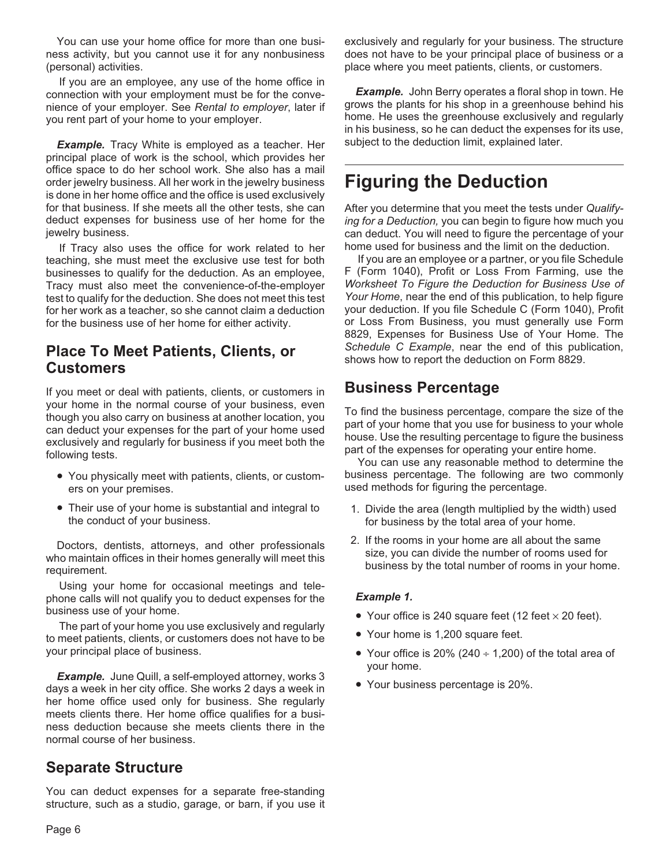ness activity, but you cannot use it for any nonbusiness does not have to be your principal place of business or a (personal) activities. place where you meet patients, clients, or customers.

If you are an employee, any use of the home office in connection with your employment must be for the conve-<br>nience of your employer. See *Bental to employer* later if grows the plants for his shop in a greenhouse behind his nience of your employer. See *Rental to employer*, later if

**Example.** Tracy White is employed as a teacher. Her subject to the deduction limit, explained later. principal place of work is the school, which provides her office space to do her school work. She also has a mail order jewelry business. All her work in the jewelry business **Figuring the Deduction** is done in her home office and the office is used exclusively for that business. If she meets all the other tests, she can After you determine that you meet the tests under *Qualify*deduct expenses for business use of her home for the *ing for a Deduction,* you can begin to figure how much you

If Tracy also uses the office for work related to her bome used for business and the limit on the deduction.<br>Iching, she must meet the exclusive use test for both If you are an employee or a partner, or you file Schedule teaching, she must meet the exclusive use test for both If you are an employee or a partner, or you file Schedule<br>businesses to qualify for the deduction. As an employee. F (Form 1040), Profit or Loss From Farming, use the businesses to qualify for the deduction. As an employee, F (Form 1040), Profit or Loss From Farming, use the Unit<br>Tracy must also meet the convenience-of-the-employer Worksheet To Figure the Deduction for Business Use of Tracy must also meet the convenience-of-the-employer *Worksheet To Figure the Deduction for Business Use of* test to qualify for the deduction. She does not meet this test *Your Home*, near the end of this publication, to help figure for her work as a teacher, so she cannot claim a deduction for the business use of her home for either activity. The Sor Loss From Business, you must generally use Form

# **Place To Meet Patients, Clients, or** Schedule C Example, near the end of this publication,<br>**Customers Customers**

If you meet or deal with patients, clients, or customers in **Business Percentage** your home in the normal course of your business, even<br>though you also carry on business at another location, you<br>can deduct your expenses for the part of your home used<br>exclusively and regularly for business if you meet bo

- ers on your premises. used methods for figuring the percentage.
- 

Using your home for occasional meetings and telephone calls will not qualify you to deduct expenses for the *Example 1.*

The part of your home you use exclusively and regularly • Your home is 1,200 square feet.

**Example.** June Quill, a self-employed attorney, works 3 days a week in  $\bullet$  Your business percentage is 20%. her home office used only for business. She regularly meets clients there. Her home office qualifies for a business deduction because she meets clients there in the normal course of her business.

### **Separate Structure**

You can deduct expenses for a separate free-standing structure, such as a studio, garage, or barn, if you use it

You can use your home office for more than one busi- exclusively and regularly for your business. The structure

home. He uses the greenhouse exclusively and regularly you rent part of your home to your employer.<br>in his business, so he can deduct the expenses for its use,

can deduct. You will need to figure the percentage of your

8829, Expenses for Business Use of Your Home. The

• You physically meet with patients, clients, or custom- business percentage. The following are two commonly

- Their use of your home is substantial and integral to  $1.$  Divide the area (length multiplied by the width) used the conduct of your business. for business by the total area of your home.
- Doctors, dentists, attorneys, and other professionals and  $\frac{1}{2}$ . If the rooms in your home are all about the same size, you can divide the number of rooms used for requirement.

- business use of your home.<br>The part of your home you use exclusively and regularly  $\bullet$  Your office is 240 square feet (12 feet × 20 feet).
	-
- your principal place of business.  $\bullet$  Your office is 20% (240 ÷ 1,200) of the total area of your home.
	-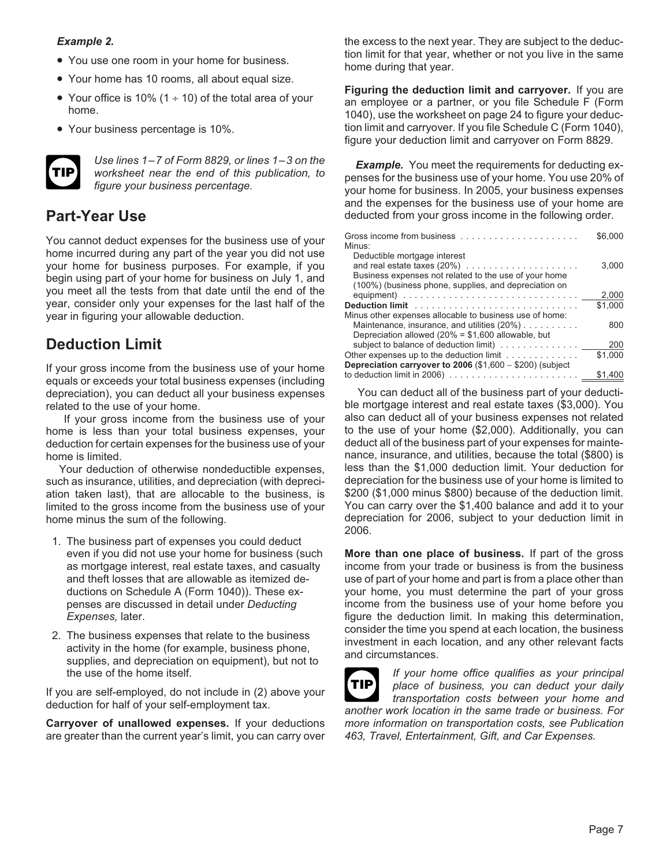- 
- Your home has 10 rooms, all about equal size.
- 
- 



You cannot deduct expenses for the business use of your home incurred during any part of the year you did not use your home for business purposes. For example, if you begin using part of your home for business on July 1, and<br>you meet all the tests from that date until the end of the year, consider only your expenses for the last half of the year in figuring your allowable deduction.

### **Deduction Limit**

If your gross income from the business use of your home<br>equals or exceeds your total business expenses (including<br>depreciation), you can deduct all your business expenses<br>You can deduct all of the business part of your de depreciation), you can deduct all your business expenses

deduction for certain expenses for the business use of your home is limited.

Your deduction of otherwise nondeductible expenses, such as insurance, utilities, and depreciation (with depreci-<br>ation taken last), that are allocable to the business, is \$200 (\$1,000 minus \$800) because of the deduction limit. ation taken last), that are allocable to the business, is \$200 (\$1,000 minus \$800) because of the deduction limit.<br>Iimited to the gross income from the business use of your You can carry over the \$1,400 balance and add it limited to the gross income from the business use of your home minus the sum of the following. The sum of the following. The state of the state of the following. The state of the depreciation for 2006, subject to your deduction limit in

- 1. The business part of expenses you could deduct
- the use of the home itself. *If your home office qualifies as your principal*

If you are self-employed, do not include in (2) above your **TIP** place of business, you can deduct your daily<br>deduction for half of your self-employment tax.

are greater than the current year's limit, you can carry over *463, Travel, Entertainment, Gift, and Car Expenses.*

**Example 2. Example 2. Example 2. the excess to the next year. They are subject to the deduc-**• You use one room in your home for business.<br>home during that year.<br>home during that year.

• Your office is 10% (1  $\div$  10) of the total area of your<br>home.<br>home.<br>dial area of your<br>the worksheet on page 24 to figure your deduc-<br>1040), use the worksheet on page 24 to figure your deduc-• Your business percentage is 10%. tion limit and carryover. If you file Schedule C (Form 1040), figure your deduction limit and carryover on Form 8829.

Use lines  $1-7$  of Form 8829, or lines  $1-3$  on the<br>worksheet near the end of this publication, to<br>figure your business percentage. your home for business. In 2005, your business expenses and the expenses for the business use of your home are **Part-Year Use** deducted from your gross income in the following order.

|                                                                                       | \$6,000 |
|---------------------------------------------------------------------------------------|---------|
| Minus:                                                                                |         |
| Deductible mortgage interest                                                          |         |
|                                                                                       | 3,000   |
| Business expenses not related to the use of your home                                 |         |
| (100%) (business phone, supplies, and depreciation on                                 |         |
|                                                                                       | 2,000   |
|                                                                                       | \$1,000 |
| Minus other expenses allocable to business use of home:                               |         |
| Maintenance, insurance, and utilities (20%)                                           | 800     |
| Depreciation allowed (20% = $$1,600$ allowable, but                                   |         |
| subject to balance of deduction limit)                                                | 200     |
| Other expenses up to the deduction $\lim_{x \to 0} \frac{1}{x}$                       | \$1.000 |
| Depreciation carryover to 2006 (\$1,600 - \$200) (subject                             |         |
|                                                                                       |         |
| to deduction limit in 2006) $\ldots \ldots \ldots \ldots \ldots \ldots \ldots \ldots$ | \$1,400 |

related to the use of your home.<br>If your gross income from the business use of your also can deduct all of your business expenses not related If your gross income from the business use of your also can deduct all of your business expenses not related<br>ne is less than your total business expenses, your to the use of your home (\$2,000). Additionally, you can home is less than your total business expenses, your to the use of your home (\$2,000). Additionally, you can deduction for certain expenses for the business use of your deduct all of the business part of your expenses for hance, insurance, and utilities, because the total (\$800) is less than the \$1,000 deduction limit. Your deduction for 2006.

even if you did not use your home for business (such **More than one place of business.** If part of the gross as mortgage interest, real estate taxes, and casualty income from your trade or business is from the business and theft losses that are allowable as itemized de- use of part of your home and part is from a place other than ductions on Schedule A (Form 1040)). These ex- your home, you must determine the part of your gross penses are discussed in detail under *Deducting* income from the business use of your home before you *Expenses,* later. **Expenses**, later. **Figure 1** and the deduction limit. In making this determination, 2. The business expenses that relate to the business consider the time you spend at each location, the business activity in the home (for example, business phone, supplies, and depreciation on equipment), but not to and ci



another work location in the same trade or business. For **Carryover of unallowed expenses.** If your deductions *more information on transportation costs, see Publication*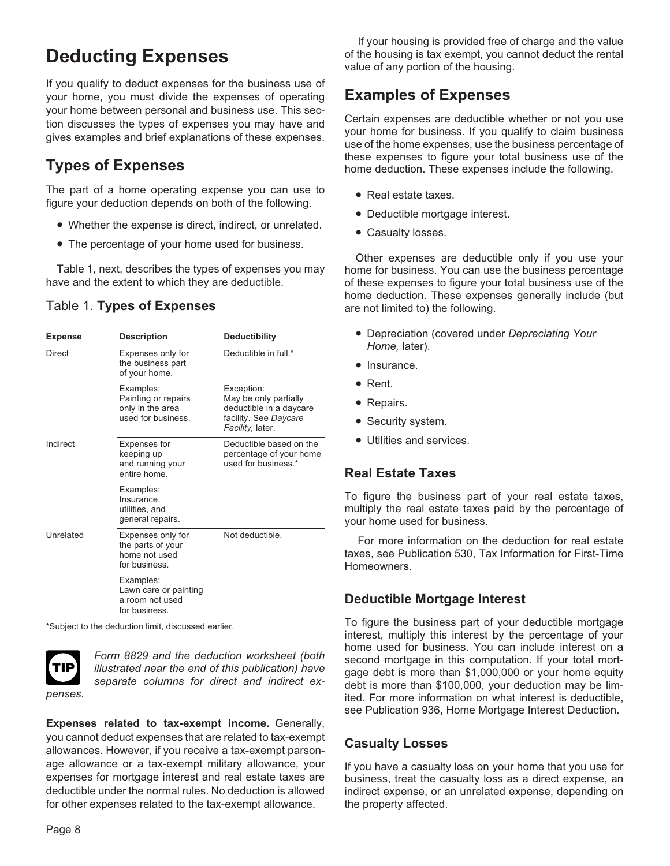If you qualify to deduct expenses for the business use of your home, you must divide the expenses of operating **Examples of Expenses** your home between personal and business use. This sec-<br>tion discusses the types of expenses you may have and<br>gives examples and brief explanations of these expenses.<br>use of the home expenses, use the business percentage of

The part of a home operating expense you can use to **•** Real estate taxes.<br>
figure your deduction depends on both of the following.<br>
• Deductible mortgage interest.

- Whether the expense is direct, indirect, or unrelated. Casualty losses.
- The percentage of your home used for business.

### Table 1. **Types of Expenses** are not limited to the following.

| <b>Expense</b> | <b>Description</b>                                                         | <b>Deductibility</b>                                                                                        | • Depreciation                                            |
|----------------|----------------------------------------------------------------------------|-------------------------------------------------------------------------------------------------------------|-----------------------------------------------------------|
| <b>Direct</b>  | Expenses only for<br>the business part<br>of your home.                    | Deductible in full.*                                                                                        | Home, later).<br>Insurance.                               |
|                | Examples:<br>Painting or repairs<br>only in the area<br>used for business. | Exception:<br>May be only partially<br>deductible in a daycare<br>facility. See Daycare<br>Facility, later. | $\bullet$ Rent.<br>• Repairs.<br>• Security syste         |
| Indirect       | Expenses for<br>keeping up<br>and running your<br>entire home.             | Deductible based on the<br>percentage of your home<br>used for business.*                                   | Utilities and s<br><b>Real Estate Ta</b>                  |
|                | Examples:<br>Insurance,<br>utilities, and<br>general repairs.              |                                                                                                             | To figure the bu<br>multiply the real<br>your home used f |
| Unrelated      | Expenses only for<br>the parts of your<br>home not used<br>for business.   | Not deductible.                                                                                             | For more infor<br>taxes, see Publica<br>Homeowners.       |
|                | Examples:<br>Lawn care or painting<br>a room not used<br>for business.     |                                                                                                             | <b>Deductible Mo</b><br>Ta Causa tha bus                  |



**Expenses related to tax-exempt income.** Generally, you cannot deduct expenses that are related to tax-exempt **Casualty Losses** allowances. However, if you receive a tax-exempt parsonage allowance or a tax-exempt military allowance, your If you have a casualty loss on your home that you use for<br>expenses for mortgage interest and real estate taxes are In usiness treat the casualty loss as a direct expen deductible under the normal rules. No deduction is allowed indirect expense, or an unrelated expense, depending on for other expenses related to the tax-exempt allowance. the property affected.

If your housing is provided free of charge and the value **Deducting Expenses** of the housing is tax exempt, you cannot deduct the rental value of any portion of the housing.

**Types of Expenses**<br> **Types of Expenses**<br> **Types of Expenses**<br> **These** expenses include the following.

- 
- 
- 

Other expenses are deductible only if you use your Table 1, next, describes the types of expenses you may home for business. You can use the business percentage have and the extent to which they are deductible.  $\qquad \qquad$  of these expenses to figure your total business use of the home deduction. These expenses generally include (but

- **Expense Depreciation (covered under** *Depreciating Your* Home, later).
- Insurance.
- 
- Repairs.
- **•** Security system.
- Utilities and services.

### **Real Estate Taxes**

To figure the business part of your real estate taxes, multiply the real estate taxes paid by the percentage of your home used for business.

For more information on the deduction for real estate taxes, see Publication 530, Tax Information for First-Time Homeowners.

### **Deductible Mortgage Interest**

\*Subject to the deduction limit, discussed earlier. To figure the business part of your deductible mortgage interest, multiply this interest by the percentage of your home used for business. You can include interest on a Form 8829 and the deduction worksheet (both<br>illustrated near the end of this publication) have<br>separate columns for direct and indirect ex-<br>debt is more than \$1,000,000 or your home equity<br>separate columns for direct and i debt is more than \$100,000, your deduction may be limpenses. see Publication 936, Home Mortgage Interest Deduction.

business, treat the casualty loss as a direct expense, an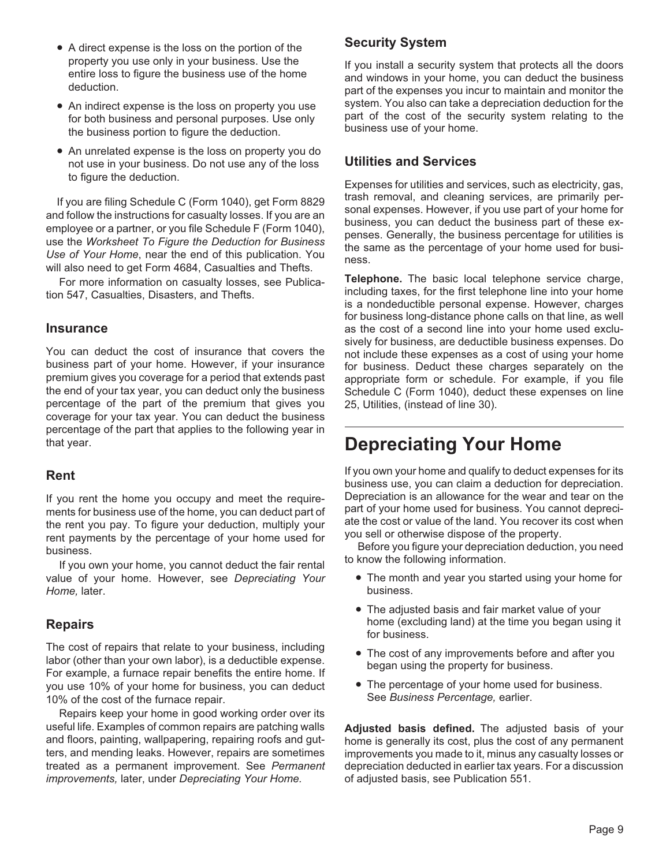- A direct expense is the loss on the portion of the **Security System**
- for both business and personal purposes. Use only part of the cost of the securities business portion to figure the deduction.
- An unrelated expense is the loss on property you do not use in your business. Do not use any of the loss **Utilities and Services** to figure the deduction. Expenses for utilities and services, such as electricity, gas,

If you are filing Schedule C (Form 1040), get Form 8829<br>and follow the instructions for casualty losses. If you are an<br>employee or a partner, or you file Schedule F (Form 1040),<br>use the Worksheet To Figure the Deduction fo

business part of your home. However, if your insurance for business. Deduct these charges separately on the<br>premium gives you coverage for a period that extends past appropriate form or schedule. For example, if you file the end of your tax year, you can deduct only the business Schedule C (Form 1040), deduct these expenses on line percentage of the part of the premium that gives you 25, Utilities, (instead of line 30). coverage for your tax year. You can deduct the business percentage of the part that applies to the following year in that year. **Depreciating Your Home**

ments for business use of the home, you can deduct part of part of your home used for business. You cannot depreci-<br>the rent you pay. To figure your deduction, multiply your ate the cost or value of the land. You recover i the rent you pay. To figure your deduction, multiply your<br>rent payments by the percentage of your home used for<br>business.<br>the set of the property our depreciation deduction, you need<br>to know the following information.

If you own your home, you cannot deduct the fair rental value of your home. However, see *Depreciating Your* • The month and year you started using your home for *Home,* later. **business.** 

The cost of repairs that relate to your business, including<br>labor (other than your own labor), is a deductible expense.<br>For example, a furnace repair benefits the entire home. If you use 10% of your home for business, you can deduct • The percentage of your home used for business.<br>10% of the cost of the furnace repair.<br>59 See Business Percentage, earlier. 10% of the cost of the furnace repair.

Repairs keep your home in good working order over its useful life. Examples of common repairs are patching walls **Adjusted basis defined.** The adjusted basis of your and floors, painting, wallpapering, repairing roofs and gut- home is generally its cost, plus the cost of any permanent ters, and mending leaks. However, repairs are sometimes improvements you made to it, minus any casualty losses or treated as a permanent improvement. See *Permanent* depreciation deducted in earlier tax years. For a discussion *improvements, later, under Depreciating Your Home.* of adjusted basis, see Publication 551.

property you use only in your business. Use the<br>entire loss to figure the business use of the home<br>deduction.<br>deduction.<br>part of the expenses you incur to maintain and monitor the • An indirect expense is the loss on property you use system. You also can take a depreciation deduction for the for both business and personal purposes. Use only part of the cost of the security system relating to the

For more information on casualty losses, see Publica- **Telephone.** The basic local telephone service charge, tion 547, Casualties, Disasters, and Thefts.<br>is a nondeductible personal expense. However, charges for business long-distance phone calls on that line, as well **Insurance as the cost of a second line into your home used exclu**sively for business, are deductible business expenses. Do<br>You can deduct the cost of insurance that covers the not include these expenses as a cost of using your home<br>for business. Deduct these charges separately on the appropriate form or schedule. For example, if you file

**I**f you own your home and qualify to deduct expenses for its **Rent Rent** business use, you can claim a deduction for depreciation. If you rent the home you occupy and meet the require-<br>ments for business use of the home you can deduct part of part of your home used for business. You cannot depreci-

- 
- The adjusted basis and fair market value of your **Repairs** home (excluding land) at the time you began using it for business.
	-
	-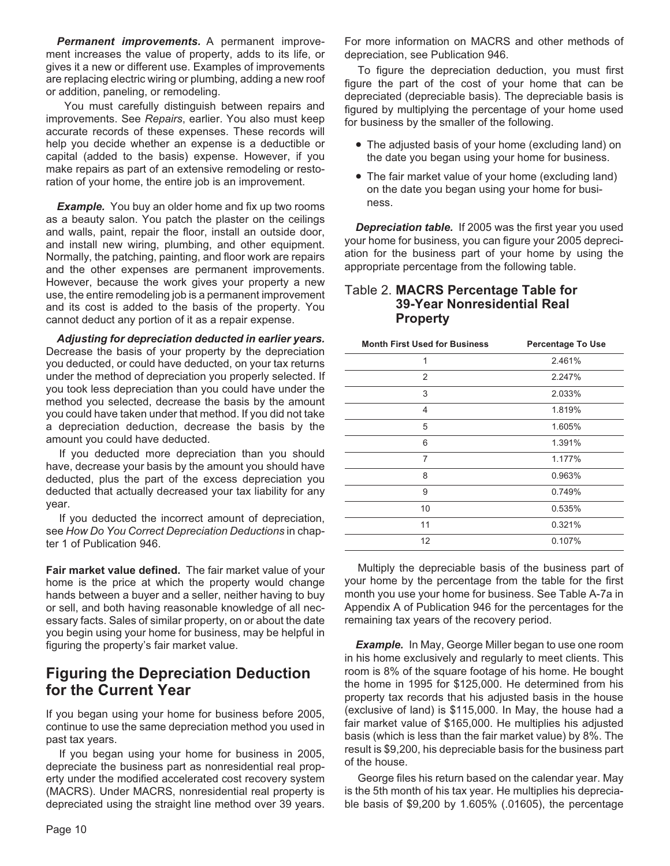ment increases the value of property, adds to its life, or depreciation, see Publication 946.<br>gives it a new or different use. Examples of improvements  $\tau_0$  figure the depreciation dec

help you decide whether an expense is a deductible or  $\bullet$  The adjusted basis of your home (excluding land) on capital (added to the basis) expense. However, if you the date you began using your home for business.<br>make repairs as part of an extensive remodeling or resto-

**Example.** You buy an older home and fix up two rooms ness. as a beauty salon. You patch the plaster on the ceilings<br>and walls, paint, repair the floor, install an outside door,<br>and install new wiring, plumbing, and other equipment.<br>Normally the patching painting and floor work are Normally, the patching, painting, and floor work are repairs ation for the business part of your home by the and the other expenses are permanent improvements. Appropriate percentage from the following table. and the other expenses are permanent improvements. However, because the work gives your property a new Table 2. **MACRS Percentage Table for** use, the entire remodeling job is a permanent improvement and its cost is added to the basis of the property. You **39-Year No. 189-Year No. 189-Year No.**<br>Cannot deduct any portion of it as a repair expense. cannot deduct any portion of it as a repair expense.

home is the price at which the property would change your home by the percentage from the table for the first<br>hands between a buyer and a seller, neither having to buy month you use your home for business. See Table A-7a hands between a buyer and a seller, neither having to buy month you use your home for business. See Table A-7a in<br>or sell, and both having reasonable knowledge of all nec-<br>Appendix A of Publication 946 for the percentages or sell, and both having reasonable knowledge of all necessary facts. Sales of similar property, on or about the date remaining tax years of the recovery period. you begin using your home for business, may be helpful in figuring the property's fair market value. *Example.* In May, George Miller began to use one room

erty under the modified accelerated cost recovery system George files his return based on the calendar year. May (MACRS). Under MACRS, nonresidential real property is is the 5th month of his tax year. He multiplies his depreciadepreciated using the straight line method over 39 years. ble basis of \$9,200 by 1.605% (.01605), the percentage

*Permanent improvements.* A permanent improve- For more information on MACRS and other methods of

gives it a new or different use. Examples of improvements<br>are replacing electric wiring or plumbing, adding a new roof<br>or addition, paneling, or remodeling.<br>You must carefully distinguish between repairs and<br>improvements.

- 
- make repairs as part of an extensive remodeling or resto-<br>
 The fair market value of your home (excluding land)<br>
on the date you began using your home for busi-

| Adjusting for depreciation deducted in earlier years.                                                                | <b>Month First Used for Business</b> | <b>Percentage To Use</b> |
|----------------------------------------------------------------------------------------------------------------------|--------------------------------------|--------------------------|
| Decrease the basis of your property by the depreciation<br>you deducted, or could have deducted, on your tax returns |                                      | 2.461%                   |
| under the method of depreciation you properly selected. If                                                           | 2                                    | 2.247%                   |
| you took less depreciation than you could have under the                                                             | 3                                    | 2.033%                   |
| method you selected, decrease the basis by the amount<br>you could have taken under that method. If you did not take |                                      | 1.819%                   |
| a depreciation deduction, decrease the basis by the                                                                  | 5                                    | 1.605%                   |
| amount you could have deducted.                                                                                      | 6                                    | 1.391%                   |
| If you deducted more depreciation than you should<br>have, decrease your basis by the amount you should have         |                                      | 1.177%                   |
| deducted, plus the part of the excess depreciation you                                                               | 8                                    | 0.963%                   |
| deducted that actually decreased your tax liability for any                                                          | 9                                    | 0.749%                   |
| year.                                                                                                                | 10                                   | 0.535%                   |
| If you deducted the incorrect amount of depreciation,<br>see How Do You Correct Depreciation Deductions in chap-     | 11                                   | 0.321%                   |
| ter 1 of Publication 946.                                                                                            | 12                                   | 0.107%                   |
|                                                                                                                      |                                      |                          |

**Fair market value defined.** The fair market value of your Multiply the depreciable basis of the business part of home is the price at which the property would change your home by the percentage from the table for the firs

in his home exclusively and regularly to meet clients. This **Figuring the Depreciation Deduction** room is 8% of the square footage of his home. He bought the **Current Vees** of the home in 1995 for \$125,000. He determined from his **for the Current Year for the Current Year** *property tax records that his adjusted basis in the house* If you began using your home for business before 2005,<br>
continue to use the same depreciation method you used in<br>
past tax years.<br>
If you began using your home for business in 2005,<br>
If you began using your home for busin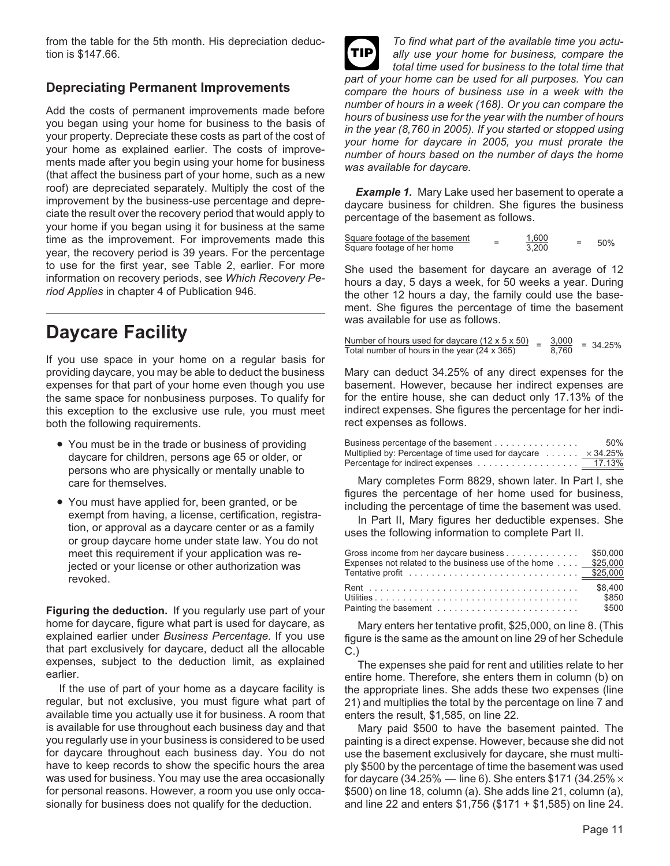from the table for the 5th month. His depreciation deduc- *To find what part of the available time you actu*tion is \$147.66. *ally use your home for business, compare the*

Add the costs of permanent improvements made before<br>you began using your home for business to the basis of<br>your property. Depreciate these costs as part of the cost of<br>your home for daycare in 2005, you must prorate the<br>me roof) are depreciated separately. Multiply the cost of the<br>improvement by the business-use percentage and depre-<br>ciate the result over the recovery period that would apply to<br>your home if you began using it for business at time as the improvement. For improvements made this year, the recovery period is 39 years. For the percentage to use for the first year, see Table 2, earlier. For more<br>information on recovery periods, see Which Recovery  $Pe$ -<br>riod Applies in chapter 4 of Publication 946.<br>the other 12 hours a day, the family could use the base-

# **Daycare Facility**

If you use space in your home on a regular basis for providing daycare, you may be able to deduct the business Mary can deduct 34.25% of any direct expenses for the expenses for that part of your home even though you use basement. However, because her indirect expenses are the same space for nonbusiness purposes. To qualify for for the entire house, she can deduct only 17.13% of the this exception to the exclusive use rule, you must meet indirect expenses. She figures the percentage for her indiboth the following requirements. The rect expenses as follows.

- You must be in the trade or business of providing daycare for children, persons age 65 or older, or persons who are physically or mentally unable to
- You must have applied for, been granted, or be<br>exempt from having, a license, certification, registra-<br>tion, or approval as a daycare center or as a family<br>or group daycare home under state law. You do not<br>or group dayca meet this requirement if your application was rejected or your license or other authorization was revoked.

Figuring the deduction. If you regularly use part of your home for daycare, figure what part is used for daycare, as Mary enters her tentative profit, \$25,000, on line 8. (This explained earlier under *Business Percentage*. If you use figure is the same as the amount on line 29 of her Schedule that part exclusively for daycare, deduct all the allocable  $C$ .)

regular, but not exclusive, you must figure what part of 21) and multiplies the total by the percentage on line 7 and available time you actually use it for business. A room that enters the result, \$1,585, on line 22. is available for use throughout each business day and that Mary paid \$500 to have the basement painted. The you regularly use in your business is considered to be used painting is a direct expense. However, because she did not for daycare throughout each business day. You do not use the basement exclusively for daycare, she must multihave to keep records to show the specific hours the area ply \$500 by the percentage of time the basement was used was used for business. You may use the area occasionally for daycare (34.25% — line 6). She enters \$171 (34.25%  $\times$ for personal reasons. However, a room you use only occa- \$500) on line 18, column (a). She adds line 21, column (a), sionally for business does not qualify for the deduction. and line 22 and enters \$1,756 (\$171 + \$1,585) on line 24.



*total time used for business to the total time that part of your home can be used for all purposes. You can* **Depreciating Permanent Improvements** *compare the hours of business use in a week with the*

| Square footage of the basement | -<br>- | 1,600 | ≔ | 50% |
|--------------------------------|--------|-------|---|-----|
| Square footage of her home     |        | 3.200 |   |     |

ment. She figures the percentage of time the basement was available for use as follows.

| Number of hours used for daycare $(12 \times 5 \times 50)$ | 3,000 | $= 34.25\%$ |
|------------------------------------------------------------|-------|-------------|
| Total number of hours in the year (24 x 365)               | 8.760 |             |

| Business percentage of the basement                                               | 50%    |
|-----------------------------------------------------------------------------------|--------|
| Multiplied by: Percentage of time used for daycare $\ldots \ldots \times 34.25\%$ |        |
| Percentage for indirect expenses                                                  | 17.13% |

care for themselves.<br>Mary completes Form 8829, shown later. In Part I, she figures the percentage of her home used for business,

| Gross income from her daycare business \$50,000<br>Expenses not related to the business use of the home $\ldots$ \$25,000 |         |
|---------------------------------------------------------------------------------------------------------------------------|---------|
|                                                                                                                           | \$8.400 |
|                                                                                                                           | \$850   |
|                                                                                                                           | \$500   |

expenses, subject to the deduction limit, as explained<br>earlier. entire home. Therefore, she enters them in column (b) on If the use of part of your home as a daycare facility is the appropriate lines. She adds these two expenses (line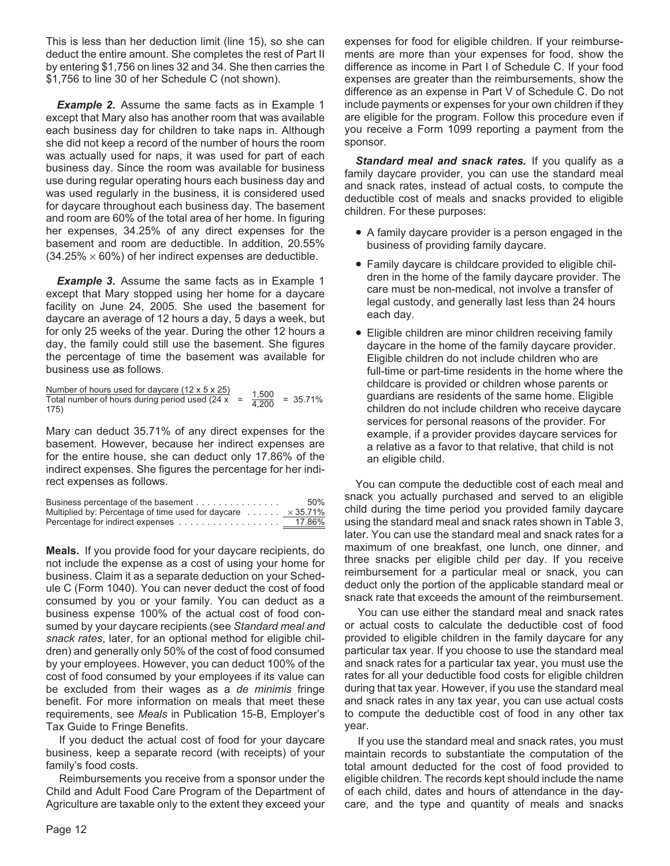This is less than her deduction limit (line 15), so she can expenses for food for eligible children. If your reimbursededuct the entire amount. She completes the rest of Part II ments are more than your expenses for food, show the by entering \$1,756 on lines 32 and 34. She then carries the difference as income in Part I of Schedule C. If your food \$1,756 to line 30 of her Schedule C (not shown). expenses are greater than the reimbursements, show the

except that Mary also has another room that was available are eligible for the program. Follow this procedure even if each business day for children to take naps in. Although you receive a Form 1099 reporting a payment from the she did not keep a record of the number of hours the room sponsor. was actually used for naps, it was used for part of each<br>business day. Since the room was available for business<br>use during regular operating hours each business day and<br>was used regularly in the business, it is considered her expenses, 34.25% of any direct expenses for the • A family daycare provider is a person engaged in the basement and room are deductible. In addition, 20.55% business of providing family daycare. basement and room are deductible. In addition, 20.55% (34.25%  $\times$  60%) of her indirect expenses are deductible.

**Example 3.** Assume the same facts as in Example 1 except that Mary stopped using her home for a daycare  $\frac{1}{2}$  care must be non-medical, not involve a transfer of facility on June 24, 2005. She used the basement for da for only 25 weeks of the year. During the other 12 hours a **•** Eligible children are minor children receiving family day, the family could still use the basement. She figures daycare in the home of the family daycare provider. the percentage of time the basement was available for<br>business use as follows.<br>Full-time or part-time residents in the home where

Total number or hours during period used (24  $x = \frac{4,200}{4,200} = 35.71\%$  children do not include children who receive daycare

for the entire house, she can deduct only 17.86% of the an eligible child. indirect expenses. She figures the percentage for her indi-

| Business percentage of the basement                                               | 50%    |
|-----------------------------------------------------------------------------------|--------|
| Multiplied by: Percentage of time used for daycare $\ldots \ldots \times 35.71\%$ |        |
|                                                                                   | 17.86% |

**Meals.** If you provide food for your daycare recipients, do<br>not include the expense as a cost of using your home for<br>business. Claim it as a separate deduction on your Sched-<br>reimbursement for a particular meal or snack, business expense 100% of the actual cost of food con- You can use either the standard meal and snack rates sumed by your daycare recipients (see *Standard meal and* or actual costs to calculate the deductible cost of food<br>snack rates, later, for an optional method for eligible chil-<br>provided to eligible children in the family d *snack rates*, later, for an optional method for eligible chil- provided to eligible children in the family daycare for any dren) and generally only 50% of the cost of food consumed. by your employees. However, you can deduct 100% of the and snack rates for a particular tax year, you must use the<br>cost of food consumed by your employees if its value can rates for all your deductible food costs for eligi cost of food consumed by your employees if its value can be excluded from their wages as a *de minimis* fringe during that tax year. However, if you use the standard meal benefit. For more information on meals that meet these and snack rates in any tax year, you can use actual costs<br>
requirements, see *Meals* in Publication 15-B, Employer's to compute the deductible cost of food in any othe requirements, see *Meals* in Publication 15-B, Employer's Tax Guide to Fringe Benefits. The state of the state of the state of the state of the state of the state of the state of the state of the state of the state of the state of the state of the state of the state of the state

business, keep a separate record (with receipts) of your maintain records to substantiate the computation of the family's food costs. The cost of food provided to the cost of food provided to

Child and Adult Food Care Program of the Department of of each child, dates and hours of attendance in the day-Agriculture are taxable only to the extent they exceed your care, and the type and quantity of meals and snacks

difference as an expense in Part V of Schedule C. Do not **Example 2.** Assume the same facts as in Example 1 include payments or expenses for your own children if they

- 
- Family daycare is childcare provided to eligible chil-
- full-time or part-time residents in the home where the Number of hours used for daycare (12 x 5 x 25)<br>Total number of hours during period used (24 x =  $\frac{1,500}{4,200}$  = 35.71% guardians are residents of the same home. Eligible Mary can deduct 35.71% of any direct expenses for the<br>basement. However, because her indirect expenses are<br>for the entire house, she can deduct only 17.86% of the<br>an eligible child<br>and eligible child

rect expenses as follows. You can compute the deductible cost of each meal and snack you actually purchased and served to an eligible child during the time period you provided family daycare using the standard meal and snack rates shown in Table 3, later. You can use the standard meal and snack rates for a

If you deduct the actual cost of food for your daycare If you use the standard meal and snack rates, you must Reimbursements you receive from a sponsor under the eligible children. The records kept should include the name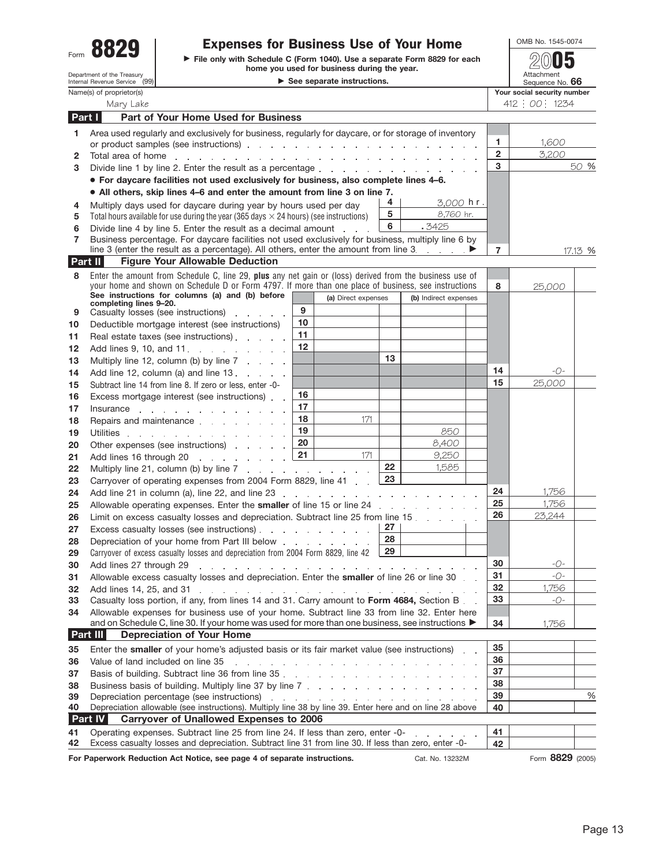| Form | I O L'O<br>n<br>U |
|------|-------------------|
|      |                   |

Department of the Treasury Internal Revenue Service (99)

Name(s) of proprietor(s)

### Expenses for Business Use of Your Home

 **File only with Schedule C (Form 1040). Use a separate Form 8829 for each home you used for business during the year.** ▶ See separate instructions.

|  | OMB No. 1545-0074 |
|--|-------------------|
|  |                   |

Attachment Sequence No. **66 Your social security number 05**

| proprietor(s) | Your social security num                        |
|---------------|-------------------------------------------------|
| Mary Lake     | $\begin{vmatrix} 412 & 00 & 1234 \end{vmatrix}$ |

| Part I   | Part of Your Home Used for Business                                                                                                                                                                                            |          |                     |       |                                                                                                                 |    |        |                    |
|----------|--------------------------------------------------------------------------------------------------------------------------------------------------------------------------------------------------------------------------------|----------|---------------------|-------|-----------------------------------------------------------------------------------------------------------------|----|--------|--------------------|
| 1        | Area used regularly and exclusively for business, regularly for daycare, or for storage of inventory                                                                                                                           |          |                     |       |                                                                                                                 |    |        |                    |
|          |                                                                                                                                                                                                                                |          |                     |       |                                                                                                                 | 1  | 1,600  |                    |
| 2        | Total area of home with a subset of the subset of the set of the set of the set of the set of the set of the set of the set of the set of the set of the set of the set of the set of the set of the set of the set of the set |          | $\overline{2}$      | 3,200 |                                                                                                                 |    |        |                    |
| 3        |                                                                                                                                                                                                                                |          |                     |       |                                                                                                                 | 3  |        | 50 %               |
|          | • For daycare facilities not used exclusively for business, also complete lines 4-6.                                                                                                                                           |          |                     |       |                                                                                                                 |    |        |                    |
|          | • All others, skip lines 4-6 and enter the amount from line 3 on line 7.                                                                                                                                                       |          |                     |       |                                                                                                                 |    |        |                    |
| 4        | Multiply days used for daycare during year by hours used per day                                                                                                                                                               |          |                     | 4     | 3.000 h r .                                                                                                     |    |        |                    |
| 5        | Total hours available for use during the year (365 days $\times$ 24 hours) (see instructions)                                                                                                                                  |          |                     | 5     | 8,760 hr.                                                                                                       |    |        |                    |
| 6        | Divide line 4 by line 5. Enter the result as a decimal amount                                                                                                                                                                  |          |                     | 6     | .3425                                                                                                           |    |        |                    |
| 7        | Business percentage. For daycare facilities not used exclusively for business, multiply line 6 by                                                                                                                              |          |                     |       |                                                                                                                 |    |        |                    |
|          | line 3 (enter the result as a percentage). All others, enter the amount from line 3                                                                                                                                            |          |                     |       |                                                                                                                 | 7  |        | 17.13 %            |
| Part II  | <b>Figure Your Allowable Deduction</b>                                                                                                                                                                                         |          |                     |       |                                                                                                                 |    |        |                    |
| 8        | Enter the amount from Schedule C, line 29, plus any net gain or (loss) derived from the business use of                                                                                                                        |          |                     |       |                                                                                                                 |    |        |                    |
|          | your home and shown on Schedule D or Form 4797. If more than one place of business, see instructions<br>See instructions for columns (a) and (b) before                                                                        |          | (a) Direct expenses |       | (b) Indirect expenses                                                                                           | 8  | 25,000 |                    |
|          | completing lines 9-20.                                                                                                                                                                                                         |          |                     |       |                                                                                                                 |    |        |                    |
| 9        | 9<br>Casualty losses (see instructions)                                                                                                                                                                                        |          |                     |       |                                                                                                                 |    |        |                    |
| 10       | Deductible mortgage interest (see instructions)                                                                                                                                                                                | 10<br>11 |                     |       |                                                                                                                 |    |        |                    |
| 11       | Real estate taxes (see instructions).                                                                                                                                                                                          |          |                     |       |                                                                                                                 |    |        |                    |
| 12       | 12<br>Add lines 9, 10, and 11.<br>13                                                                                                                                                                                           |          |                     |       |                                                                                                                 |    |        |                    |
| 13       | Multiply line 12, column (b) by line 7                                                                                                                                                                                         |          |                     |       |                                                                                                                 | 14 | $ O-$  |                    |
| 14       | Add line 12, column (a) and line 13.<br>Subtract line 14 from line 8. If zero or less, enter -0-                                                                                                                               |          |                     |       |                                                                                                                 |    | 25,000 |                    |
| 15       | Excess mortgage interest (see instructions).                                                                                                                                                                                   | 15       |                     |       |                                                                                                                 |    |        |                    |
| 16<br>17 | Insurance                                                                                                                                                                                                                      |          |                     |       |                                                                                                                 |    |        |                    |
| 18       | Repairs and maintenance expansion of the set of the set of the set of the set of the set of the set of the set of the set of the set of the set of the set of the set of the set of the set of the set of the set of the set o |          |                     |       |                                                                                                                 |    |        |                    |
| 19       | Utilities and a series and a series and a series of the Utility of the Series of the Utility of the U                                                                                                                          |          |                     |       |                                                                                                                 |    |        |                    |
| 20       | Other expenses (see instructions)                                                                                                                                                                                              |          |                     |       |                                                                                                                 |    |        |                    |
| 21       | Add lines 16 through 20 $\ldots$ $\ldots$ $\ldots$                                                                                                                                                                             |          |                     |       |                                                                                                                 |    |        |                    |
| 22       | Multiply line 21, column (b) by line 7                                                                                                                                                                                         |          |                     |       |                                                                                                                 |    |        |                    |
| 23       | Carryover of operating expenses from 2004 Form 8829, line 41.                                                                                                                                                                  |          |                     | 23    |                                                                                                                 |    |        |                    |
| 24       | Add line 21 in column (a), line 22, and line 23 $\ldots$ $\ldots$ $\ldots$ $\ldots$ $\ldots$ $\ldots$                                                                                                                          |          |                     |       |                                                                                                                 | 24 | 1,756  |                    |
| 25       | Allowable operating expenses. Enter the <b>smaller</b> of line 15 or line 24 manuscript of the system of the system of                                                                                                         |          |                     |       |                                                                                                                 | 25 | 1,756  |                    |
| 26       | Limit on excess casualty losses and depreciation. Subtract line 25 from line 15                                                                                                                                                |          |                     |       |                                                                                                                 | 26 | 23.244 |                    |
| 27       | 27<br>Excess casualty losses (see instructions)                                                                                                                                                                                |          |                     |       |                                                                                                                 |    |        |                    |
| 28       | 28<br>Depreciation of your home from Part III below                                                                                                                                                                            |          |                     |       |                                                                                                                 |    |        |                    |
| 29       | 29<br>Carryover of excess casualty losses and depreciation from 2004 Form 8829, line 42                                                                                                                                        |          |                     |       |                                                                                                                 |    |        |                    |
| 30       | Add lines 27 through 29 resources and a series and a series and a series are a series and a series are a series                                                                                                                | 30<br>31 | -0-                 |       |                                                                                                                 |    |        |                    |
| 31       | Allowable excess casualty losses and depreciation. Enter the smaller of line 26 or line 30                                                                                                                                     |          |                     |       |                                                                                                                 |    | $-O-$  |                    |
| 32       |                                                                                                                                                                                                                                | 32       | 1,756               |       |                                                                                                                 |    |        |                    |
| 33       | Casualty loss portion, if any, from lines 14 and 31. Carry amount to Form 4684, Section B                                                                                                                                      |          |                     |       |                                                                                                                 | 33 | $-O-$  |                    |
| 34       | Allowable expenses for business use of your home. Subtract line 33 from line 32. Enter here<br>and on Schedule C, line 30. If your home was used for more than one business, see instructions                                  |          |                     |       |                                                                                                                 | 34 |        |                    |
| Part III | <b>Depreciation of Your Home</b>                                                                                                                                                                                               |          |                     |       |                                                                                                                 |    | 1,756  |                    |
|          |                                                                                                                                                                                                                                |          |                     |       |                                                                                                                 | 35 |        |                    |
| 35       | Enter the smaller of your home's adjusted basis or its fair market value (see instructions).                                                                                                                                   |          |                     |       |                                                                                                                 | 36 |        |                    |
| 36       | Value of land included on line 35                                                                                                                                                                                              |          |                     |       | the contract of the contract of the contract of the contract of the contract of                                 | 37 |        |                    |
| 37<br>38 | Basis of building. Subtract line 36 from line 35 and the state of the state of the state of the state of the state of the state of the state of the state of the state of the state of the state of the state of the state of  |          |                     |       |                                                                                                                 | 38 |        |                    |
| 39       | Depreciation percentage (see instructions).                                                                                                                                                                                    |          |                     |       | the contract of the contract of the contract of the contract of the contract of the contract of the contract of | 39 |        | %                  |
| 40       | Depreciation allowable (see instructions). Multiply line 38 by line 39. Enter here and on line 28 above                                                                                                                        |          |                     |       |                                                                                                                 | 40 |        |                    |
|          | <b>Carryover of Unallowed Expenses to 2006</b><br><b>Part IV</b>                                                                                                                                                               |          |                     |       |                                                                                                                 |    |        |                    |
| 41       | Operating expenses. Subtract line 25 from line 24. If less than zero, enter -0-                                                                                                                                                |          |                     |       |                                                                                                                 | 41 |        |                    |
| 42       | Excess casualty losses and depreciation. Subtract line 31 from line 30. If less than zero, enter -0-                                                                                                                           |          |                     |       |                                                                                                                 | 42 |        |                    |
|          | uauk Daduatian, Aat Nation, aan noon 4 of concurts instructions                                                                                                                                                                |          |                     |       |                                                                                                                 |    |        | $9920 \; \text{m}$ |

**For Paperwork Reduction Act Notice, see page 4 of separate instructions.** Cat. No. 13232M Form 8829 (2005)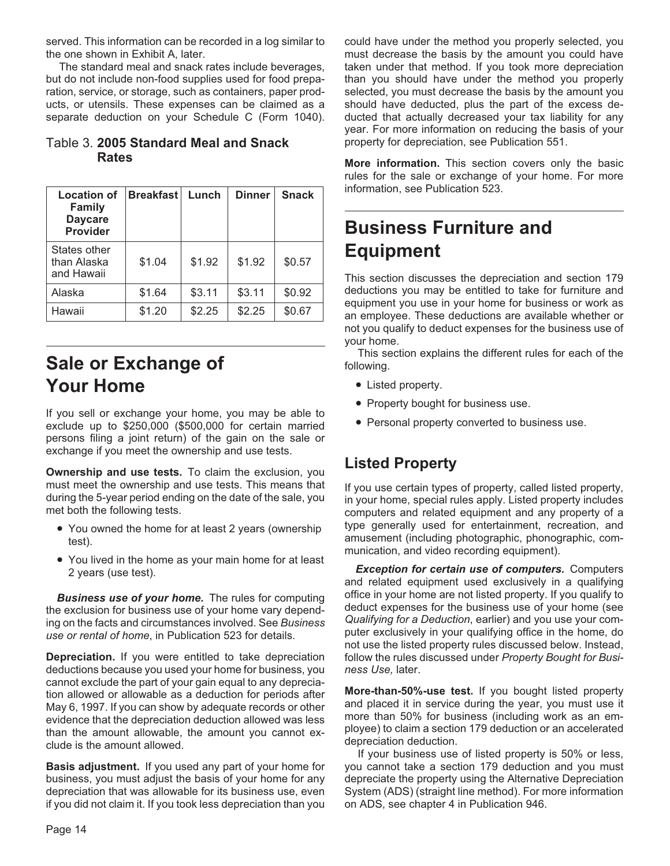served. This information can be recorded in a log similar to could have under the method you properly selected, you the one shown in Exhibit A, later. The state of the state of the shown in Exhibit A, later. The state of the amount you could have

but do not include non-food supplies used for food prepa- than you should have under the method you properly ration, service, or storage, such as containers, paper prod- selected, you must decrease the basis by the amount you ucts, or utensils. These expenses can be claimed as a should have deducted, plus the part of the excess deseparate deduction on your Schedule C (Form 1040). ducted that actually decreased your tax liability for any

| <b>Location of</b><br><b>Family</b><br><b>Daycare</b><br><b>Provider</b> | <b>Breakfast</b> | Lunch  | <b>Dinner</b> | <b>Snack</b> |
|--------------------------------------------------------------------------|------------------|--------|---------------|--------------|
| States other<br>than Alaska<br>and Hawaii                                | \$1.04           | \$1.92 | \$1.92        | \$0.57       |
| Alaska                                                                   | \$1.64           | \$3.11 | \$3.11        | \$0.92       |
| Hawaii                                                                   | \$1.20           | \$2.25 | \$2.25        | \$0.67       |

# Table 3. **2005 Standard Meal and Snack** property for depreciation, see Publication 551.

# **Your Home** • Listed property.

• Property bought for business use. If you sell or exchange your home, you may be able to • Personal property converted to business use. exclude up to \$250,000 (\$500,000 for certain married persons filing a joint return) of the gain on the sale or exchange if you meet the ownership and use tests.

**COMPTER CONTROLLET CONTROLLET CONTROLLET CONTROLLET CONTROLLET CONTROLLET CONTROLLET CONTROLLET CONTROLLET CONTROLLET CONTROLLET CONTROLLET CONTROLLET CONTROLLET CONTROLLET CONTROLLET CONTROLLET CONTROLLET CONTROLLET CONT** 

- 
- 

**Depreciation.** If you were entitled to take depreciation follow the rules discussed under *Property Bought for Busi*deductions because you used your home for business, you *ness Use,* later. cannot exclude the part of your gain equal to any deprecia-<br>
tion allowed or allowable as a deduction for periods after **More-than-50%-use test.** If you bought listed property<br>
May 6, 1997, If you can show by adequate reco May 6, 1997. If you can show by adequate records or other and placed it in service during the year, you must use it<br>evidence that the depreciation deduction allowed was less and more than 50% for business (including work a evidence that the depreciation deduction allowed was less more than 50% for business (including work as an em-<br>than the amount allowable, the amount you cannot ex-<br>clude is the amount allowed.<br>depreciation deduction.

**Basis adjustment.** If you used any part of your home for you cannot take a section 179 deduction and you must business, you must adjust the basis of your home for any depreciate the property using the Alternative Depreciation depreciation that was allowable for its business use, even System (ADS) (straight line method). For more information if you did not claim it. If you took less depreciation than you on ADS, see chapter 4 in Publication 946.

The standard meal and snack rates include beverages, taken under that method. If you took more depreciation year. For more information on reducing the basis of your

**Rates Rates More information.** This section covers only the basic rules for the sale or exchange of your home. For more information, see Publication 523.

# **Business Furniture and** Equipment

This section discusses the depreciation and section 179 deductions you may be entitled to take for furniture and equipment you use in your home for business or work as an employee. These deductions are available whether or not you qualify to deduct expenses for the business use of your home.

This section explains the different rules for each of the **Sale or Exchange of Sale or Exchange of following.** 

- 
- 
- 

must meet the ownership and use tests. This means that If you use certain types of property, called listed property, during the 5-year period ending on the date of the sale, you in your home, special rules apply. Listed pr • You owned the home for at least 2 years (ownership type generally used for entertainment, recreation, and annusement (including photographic, phonographic, com-<br>
• You lived in the home as your main home for at least<br>
2

**Business use of your home.** The rules for computing office in your home are not listed property. If you qualify to<br>the exclusion for business use of your home vary depend-<br>ing on the facts and circumstances involved. See puter exclusively in your qualifying office in the home, do *use or rental of home*, in Publication 523 for details. not use the listed property rules discussed below. Instead,

If your business use of listed property is 50% or less,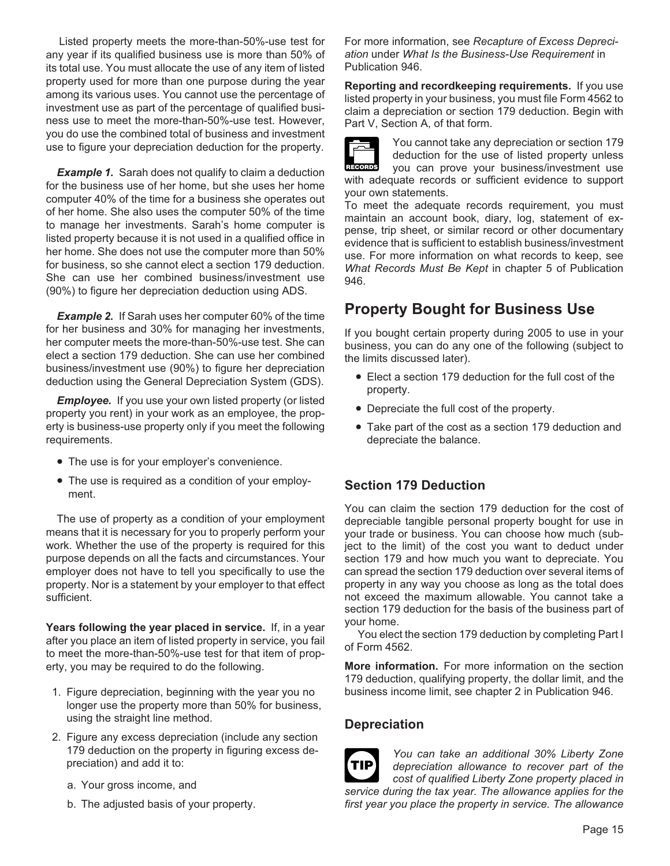any year if its qualified business use is more than 50% of *ation* under *What Is the Business-Use Requirement* in its total use. You must allocate the use of any item of listed property used for more than one purpose during the year<br>among its various uses. You cannot use the percentage of<br>investment use as part of the percentage of qualified busi-<br>ness use to meet the more-than-50%-use test. Howe

**Example 1.** Sarah does not qualify to claim a deduction<br>for the business use of her home, but she uses her home<br>computer 40% of the time for a business she operates out<br>of her home. She also uses the computer 50% of the t (90%) to figure her depreciation deduction using ADS.

For her business and 30% for managing her investments,<br>
the computer meets the more-than-50%-use test. She can<br>
elect a section 179 deduction. She can use her combined<br>
business, you can do any one of the following (subjec

**Employee.** If you use your own listed property (or listed **•** Depreciate the full cost of the property.<br>property you rent) in your work as an employee, the property is business-use property only if you meet the following • Take part of the cost as a section 179 deduction and requirements. The contract of the balance of the balance. The contract of the balance of the balance.

- The use is for your employer's convenience.
- The use is required as a condition of your employ- **Section 179 Deduction** ment.

The use of property as a condition of your employment depreciable tangible personal property bought for use in<br>means that it is necessary for you to properly perform your vour trade or business. You can choose how much (su work. Whether the use of the property is required for this ject to the limit) of the cost you want to deduct under purpose depends on all the facts and circumstances. Your section 179 and how much you want to depreciate. You employer does not have to tell you specifically to use the can spread the section 179 deduction over several items of property. Nor is a statement by your employer to that effect property in any way you choose as long as the total does sufficient. **not exceed the maximum allowable.** You cannot take a

**Years following the year placed in service.** If, in a year your home.<br>
after you place an item of listed property in service, you fail  $\frac{y}{x}$  of Form 4562.<br>
to meet the more-than-50%-use test for that item of property, you may be required to do the following. **More information.** For more information on the section

- longer use the property more than 50% for business, using the straight line method. **Depreciation**
- 2. Figure any excess depreciation (include any section 179 deduction on the property in figuring excess de- *You can take an additional 30% Liberty Zone* preciation) and add it to: *depreciation allowance to recover part of the*
	-
	- b. The adjusted basis of your property. *first year you place the property in service. The allowance*

Listed property meets the more-than-50%-use test for For more information, see *Recapture of Excess Depreci-*



you as a do use the combined total of business and investment.<br>
Wou cannot take any depreciation or section 179<br>
deduction for the use of listed property unless<br>
you can prove your business/investment use

The property because it is not used in a qualitied office in<br>
the rhome. She does not use the computer more than 50% are. For more information on what records to keep, see<br>
for business, so she cannot elect a section 179

# **Property Bought for Business Use** *Example 2.* If Sarah uses her computer 60% of the time

- 
- 
- 

You can claim the section 179 deduction for the cost of your trade or business. You can choose how much (subsection 179 deduction for the basis of the business part of

179 deduction, qualifying property, the dollar limit, and the 1. Figure depreciation, beginning with the year you no business income limit, see chapter 2 in Publication 946.



*cost of qualified Liberty Zone property placed in* a. Your gross income, and<br>*service during the tax year. The allowance applies for the*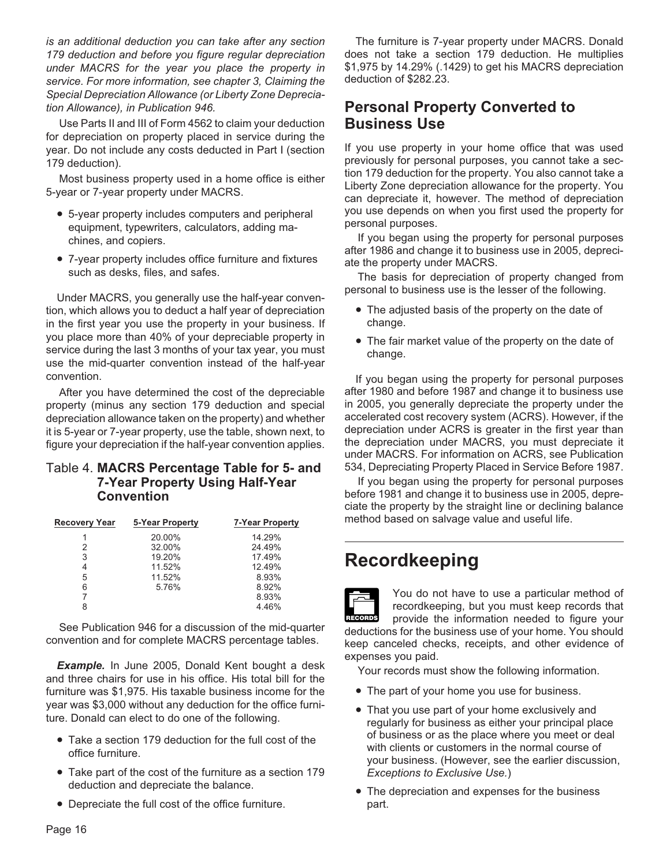*is an additional deduction you can take after any section* The furniture is 7-year property under MACRS. Donald 179 deduction and before you figure regular depreciation does not take a section 179 deduction. He multiplies<br>under MACRS for the year you place the property in \$1,975 by 14.29% (.1429) to get his MACRS depreciation *under MACRS for the year you place the property in* \$1,975 by 14.29% (.14<br>282.23. service For more information see chapter 3 Claiming the deduction of \$282.23. service. For more information, see chapter 3, Claiming the *Special Depreciation Allowance (or Liberty Zone Depreciation Allowance), in Publication 946.* **Personal Property Converted to**

Use Parts II and III of Form 4562 to claim your deduction **Business Use** for depreciation on property placed in service during the year. Do not include any costs deducted in Part I (section If you use property in your home office that was used

- 
- 

tion, which allows you to deduct a half year of depreciation • The adjusted basis of the property on the date of in the first year you use the property in your business. If change. you place more than 40% of your depreciable property in  $\bullet$  The fair market value of the property on the date of service during the last 3 months of your tax year, you must use the mid-quarter convention instead of the ha

property (minus any section 179 deduction and special in 2005, you generally depreciate the property under the<br>depreciation allowance taken on the property) and whether accelerated cost recovery system (ACRS). However, if depreciation allowance taken on the property) and whether accelerated cost recovery system (ACRS). However, if the<br>it is 5-vear or 7-vear property, use the table, shown next, to depreciation under ACRS is greater in the fi it is 5-year or 7-year property, use the table, shown next, to depreciation under ACRS is greater in the first year than<br>figure your depreciation if the half-year convention applies. The depreciation under MACRS, you must

# Table 4. **MACRS Percentage Table for 5- and** 534, Depreciating Property Placed in Service Before 1987.

| <b>Recovery Year</b> | 5-Year Property | <b>7-Year Property</b> |
|----------------------|-----------------|------------------------|
|                      | 20.00%          | 14.29%                 |
|                      | 32.00%          | 24.49%                 |
| 3                    | 19.20%          | 17.49%                 |
| 4                    | 11.52%          | 12.49%                 |
| 5                    | 11.52%          | 8.93%                  |
| 6                    | 5.76%           | 8.92%                  |
|                      |                 | 8.93%                  |
|                      |                 | 4.46%                  |

**Example.** In June 2005, Donald Kent bought a desk and three chairs for use in his office. His total bill for the  $f$ uniture was \$1,975. His taxable business income for the  $\bullet$  The part of your home you use for business. furniture was \$1,975. His taxable business income for the year was \$3,000 without any deduction for the office furni-<br>ture. Donald can elect to do one of the following.<br>regularly for business as either your principal place

- 
- Take part of the cost of the furniture as a section 179 *Exceptions to Exclusive Use.*)
- Depreciate the full cost of the office furniture. part.

179 deduction).<br>Message previously for personal purposes, you cannot take a sec-<br>Message preparty used in a hame office is either tion 179 deduction for the property. You also cannot take a Most business property used in a home office is either<br>5-year or 7-year property under MACRS.<br>can depreciate it, however. The method of depreciation

you use depends on when you first used the property for • 5-year property includes computers and peripheral personal purposes. equipment, typewriters, calculators, adding ma- If you began using the property for personal purposes chines, and copiers. after 1986 and change it to business use in 2005, depreci- • 7-year property includes office furniture and fixtures ate the property under MACRS. such as desks, files, and safes. The basis for depreciation of property changed from

personal to business use is the lesser of the following. Under MACRS, you generally use the half-year conven-

- 
- 

convention. If you began using the property for personal purposes After you have determined the cost of the depreciable after 1980 and before 1987 and change it to business use<br>operty (minus any section 179 deduction and special in 2005, you generally depreciate the property under the figure your depreciation if the half-year convention applies. Ithe depreciation under MACRS, you must depreciate it<br>under MACRS. For information on ACRS, see Publication

**7-Year Property Using Half-Year** If you began using the property for personal purposes **Convention Convention Convention before 1981** and change it to business use in 2005, depreciate the property by the straight line or declining balance method based on salvage value and useful life.

## **Recordkeeping**



You do not have to use a particular method of recordkeeping, but you must keep records that See Publication 946 for a discussion of the mid-quarter<br>convention and for complete MACRS percentage tables.<br>convention and for complete MACRS percentage tables.<br>keep canceled checks, receipts, and other evidence of

- 
- Take a section 179 deduction for the full cost of the of business or as the place where you meet or deal<br>office furniture.<br>your business. (However, see the earlier discussion,
	- deduction and depreciate the balance.<br>
	 The depreciation and expenses for the business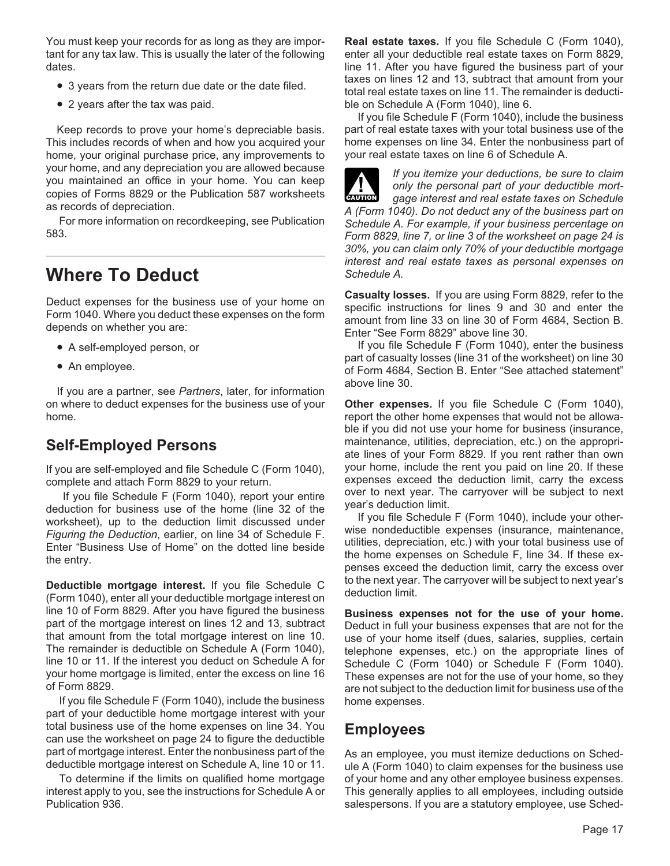You must keep your records for as long as they are impor- **Real estate taxes.** If you file Schedule C (Form 1040), tant for any tax law. This is usually the later of the following enter all your deductible real estate taxes on Form 8829,

- 
- 

This includes records of when and how you acquired your home expenses on line 34. Enter the nonbusiness part of home, your original purchase price, any improvements to your real estate taxes on line 6 of Schedule A. your home, and any depreciation you are allowed because<br>you maintained an office in your home. You can keep<br>copies of Forms 8829 or the Publication 587 worksheets<br>as records of depreciation.

## **Where To Deduct** *Schedule A.*

- 
- 

If you are a partner, see *Partners*, later, for information on where to deduct expenses for the business use of your **Other expenses.** If you file Schedule C (Form 1040), home. The metallowing report the other home expenses that would not be allowa-

If you file Schedule F (Form 1040), report your entire<br>deduction for business use of the home (line 32 of the<br>worksheet), up to the deduction limit discussed under<br>Figuring the Deduction, earlier, on line 34 of Schedule F.

**Deductible mortgage interest.** If you file Schedule C to the next year. The carryover will be subject to next year's (Form 1040), enter all your deductible mortgage interest on deduction limit. line 10 of Form 8829. After you have figured the business<br>part of the use of your home.<br>part of the mortgage interest on lines 12 and 13, subtract<br>that amount from the total mortgage interest on line 10.<br>The remainder is your home mortgage is limited, enter the excess on line 16 These expenses are not for the use of your home, so they<br>of Form 8829.

If you file Schedule F (Form 1040), include the business home expenses. part of your deductible home mortgage interest with your total business use of the home expenses on line 34. You **Employees** can use the worksheet on page 24 to figure the deductible part of mortgage interest. Enter the nonbusiness part of the As an employee, you must itemize deductions on Sched-<br>deductible mortgage interest on Schedule A, line 10 or 11. Ule A (Form 1040) to claim expenses for the busi

interest apply to you, see the instructions for Schedule A or This generally applies to all employees, including outside Publication 936. salespersons. If you are a statutory employee, use Sched-

dates.<br>line 11. After you have figured the business part of your<br>taxes on lines 12 and 13, subtract that amount from your • 3 years from the return due date or the date filed. total real estate taxes on line 11. The remainder is deducti-• 2 years after the tax was paid. ble on Schedule A (Form 1040), line 6.

If you file Schedule F (Form 1040), include the business Keep records to prove your home's depreciable basis. part of real estate taxes with your total business use of the

**CAUTION** as records or depreciation.<br>For more information on recordkeeping, see Publication<br>Form 8829, line 7, or line 3 of the worksheet on page 24 is *30%, you can claim only 70% of your deductible mortgage interest and real estate taxes as personal expenses on*

Deduct expenses for the business use of your home on<br>Form 1040. Where you deduct these expenses on the form<br>depends on whether you are:<br>depends on whether you are:<br>Enter "See Form 8829" above line 30.

• A self-employed person, or **If you file Schedule F (Form 1040)**, enter the business<br>If you file Schedule F (Form 1040), enter the business<br>gart of casualty losses (line 31 of the worksheet) on line 30 part of casualty losses (line 31 of the worksheet) on line 30 • An employee. of Form 4684, Section B. Enter "See attached statement" above line 30.

ble if you did not use your home for business (insurance, **Self-Employed Persons** maintenance, utilities, depreciation, etc.) on the appropriate lines of your Form 8829. If you rent rather than own If you are self-employed and file Schedule C (Form 1040), your home, include the rent you paid on line 20. If these complete and attach Form 8829 to your return.<br>If you file Schedule F (Form 1040) report your entire over to next year. The carryover will be subject to next

are not subject to the deduction limit for business use of the

ule A (Form 1040) to claim expenses for the business use To determine if the limits on qualified home mortgage of your home and any other employee business expenses.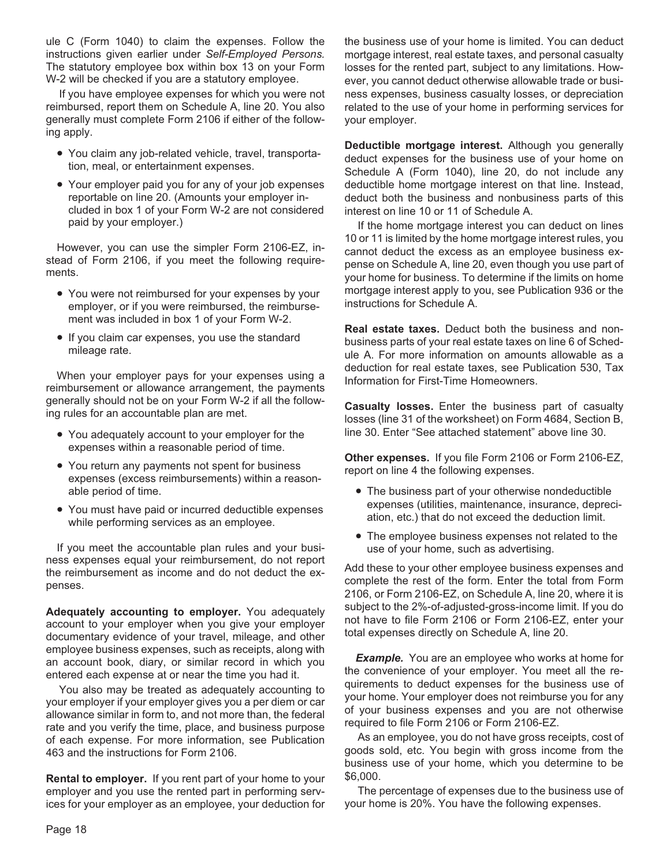ule C (Form 1040) to claim the expenses. Follow the the business use of your home is limited. You can deduct instructions given earlier under *Self-Employed Persons.* mortgage interest, real estate taxes, and personal casualty The statutory employee box within box 13 on your Form losses for the rented part, subject to any limitations. How-<br>W-2 will be checked if you are a statutory employee.<br>ever you cannot deduct otherwise allowable trade or bu

reimbursed, report them on Schedule A, line 20. You also related to the use of your home in performing services for generally must complete Form 2106 if either of the follow- your employer. ing apply.

- 
- cluded in box 1 of your Form W-2 are not considered interest on line 10 or 11 of Schedule A.<br>
paid by your employer.) If the home mortgage interest you can

- 
- 

generally should not be on your Form W-2 if all the follow-<br>ing rules for an accountable plan are met.<br>losses (line 31 of the worksheet) on Form 4684, Section B,

- expenses within a reasonable period of time.
- 
- expenses (utilities, maintenance, insurance, depreci- You must have paid or incurred deductible expenses ation, etc.) that do not exceed the deduction limit. while performing services as an employee.

If you meet the accountable plan rules and your busi-<br>ness expenses equal your reimbursement, do not report ness expenses equal your remindscenting, as not report Add these to your other employee business expenses and the reimbursement as income and do not deduct the ex-<br> penses. complete the rest of the form. Enter the total from Form

rate and you verify the time, place, and business purpose<br>of each expense. For more information, see Publication As an employee, you do not have gross receipts, cost of<br>463 and the instructions for Form 2106.<br>163 and the i

**Rental to employer.** If you rent part of your home to your \$6,000. employer and you use the rented part in performing serv- The percentage of expenses due to the business use of ices for your employer as an employee, your deduction for your home is 20%. You have the following expenses.

ever, you cannot deduct otherwise allowable trade or busi-If you have employee expenses for which you were not ness expenses, business casualty losses, or depreciation

• You claim any job-related vehicle, travel, transporta-<br>tion, meal, or entertainment expenses.<br>Schedule A (Form 1040), line 20, do not include any • Your employer paid you for any of your job expenses deductible home mortgage interest on that line. Instead, reportable on line 20. (Amounts your employer in-<br>deduct both the business and nonbusiness parts of this deduct both the business and nonbusiness parts of this

If the home mortgage interest you can deduct on lines However, you can use the simpler Form 2106-EZ, in-<br>stead of Form 2106, if you meet the following require-<br>ments.<br>ments.<br>mes on Schedule A, line 20, even though you use part of<br>your home for business. To determine if the li • You were not reimbursed for your expenses by your mortgage interest apply to you, see Publication 936 or the employer, or if you were reimbursed, the reimburse- instructions for Schedule A.

ment was included in box 1 of your Form W-2.<br>• If you claim car expenses, you use the standard<br>• If you claim car expenses, you use the standard<br>• business parts of your real estate taxes on line 6 of Sched-<br>• ule A. For m When your employer pays for your expenses using a<br>reimbursement or allowance arrangement, the payments<br>reimbursement or allowance arrangement, the payments

• You adequately account to your employer for the line 30. Enter "See attached statement" above line 30.

● You return any payments not spent for business<br>
expenses of the following expenses.<br>
expenses (excess reimbursements) within a reason-<br>
expenses (excess reimbursements) within a reason-

- able period of time. The business part of your otherwise nondeductible
	- The employee business expenses not related to the

2106, or Form 2106-EZ, on Schedule A, line 20, where it is Adequately accounting to employer. You adequately<br>account to your employer when you give your employer<br>documentary evidence of your travel, mileage, and other total expenses directly on Schedule A, line 20.

employee business expenses, such as receipts, along with<br>an account book, diary, or similar record in which you<br>entered each expense at or near the time you had it.<br>You also may be treated as adequately accounting to<br>your

goods sold, etc. You begin with gross income from the business use of your home, which you determine to be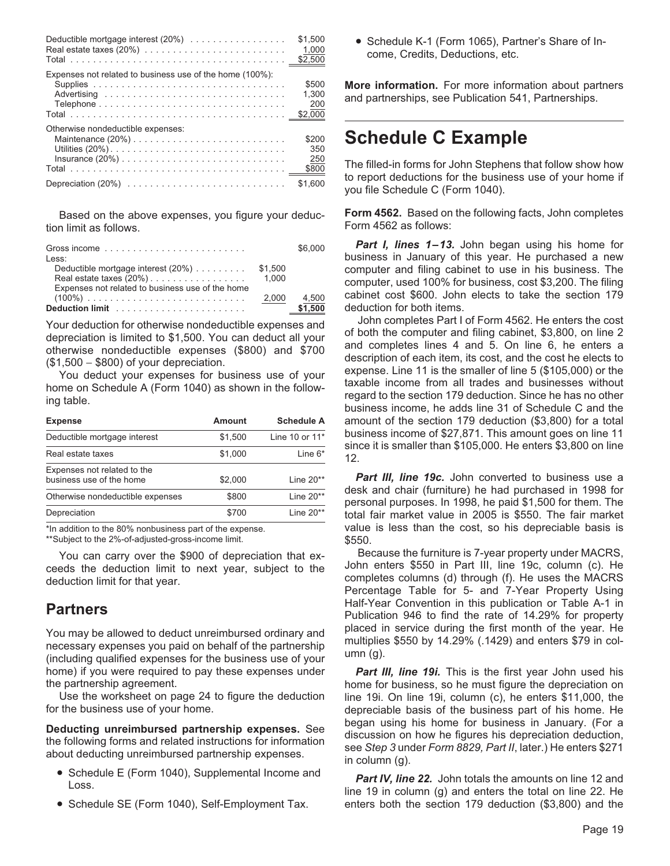| Deductible mortgage interest (20%)                       | \$1.500<br>1.000             |
|----------------------------------------------------------|------------------------------|
| Expenses not related to business use of the home (100%): | \$500<br>1.300<br>200        |
| Otherwise nondeductible expenses:                        | \$200<br>350<br>250<br>\$800 |
|                                                          | \$1,600                      |

tion limit as follows.

|                                                  |       | \$6,000 |
|--------------------------------------------------|-------|---------|
| Less:                                            |       |         |
| Deductible mortgage interest $(20\%)$ \$1,500    |       |         |
|                                                  |       |         |
| Expenses not related to business use of the home |       |         |
|                                                  | 2.000 | 4.500   |
|                                                  |       | \$1,500 |

| <b>Expense</b>                                          | Amount  | <b>Schedule A</b>          |
|---------------------------------------------------------|---------|----------------------------|
| Deductible mortgage interest                            | \$1,500 | Line 10 or 11 <sup>*</sup> |
| Real estate taxes                                       | \$1,000 | Line $6*$                  |
| Expenses not related to the<br>business use of the home | \$2,000 | Line $20**$                |
| Otherwise nondeductible expenses                        | \$800   | Line $20**$                |
| Depreciation                                            | \$700   | Line $20**$                |

\*\*Subject to the 2%-of-adjusted-gross-income limit.

ceeds the deduction limit to next year, subject to the deduction limit for that year. completes columns (d) through (f). He uses the MACRS

home) if you were required to pay these expenses under **Part III, line 19i.** This is the first year John used his the partnership agreement.

- 
- 

• Schedule K-1 (Form 1065), Partner's Share of Income, Credits, Deductions, etc.

More information. For more information about partners and partnerships, see Publication 541, Partnerships.

## Schedule C Example

The filled-in forms for John Stephens that follow show how to report deductions for the business use of your home if you file Schedule C (Form 1040).

Based on the above expenses, you figure your deduc- **Form 4562.** Based on the following facts, John completes

**Part I, lines 1–13.** John began using his home for business in January of this year. He purchased a new computer and filing cabinet to use in his business. The computer, used 100% for business, cost \$3,200. The filing cabinet cost \$600. John elects to take the section 179 deduction for both items.

Your deduction for otherwise nondeductible expenses and<br>depreciation is limited to \$1,500. You can deduct all your<br>otherwise nondeductible expenses (\$800) and \$700<br>(\$1,500 – \$800) of your depreciation.<br>(\$1,500 – \$800) of y amount of the section 179 deduction (\$3,800) for a total business income of \$27,871. This amount goes on line 11 since it is smaller than  $$105,000$ . He enters  $$3,800$  on line 12.

**Part III, line 19c.** John converted to business use a desk and chair (furniture) he had purchased in 1998 for personal purposes. In 1998, he paid \$1,500 for them. The total fair market value in 2005 is \$550. The fair market \*In addition to the 80% nonbusiness part of the expense. value is less than the cost, so his depreciable basis is<br>\*\*Subject to the 2%-of-adjusted-gross-income limit. <br>\$550.

You can carry over the \$900 of depreciation that ex-<br>eds the deduction limit to next year, subject to the John enters \$550 in Part III, line 19c, column (c). He Percentage Table for 5- and 7-Year Property Using Half-Year Convention in this publication or Table A-1 in **Partners** Publication 946 to find the rate of 14.29% for property You may be allowed to deduct unreimbursed ordinary and<br>necessary expenses you paid on behalf of the partnership<br>(including qualified expenses for the business use of your<br> $\frac{\text{placed in service during the first month of the year. He  
multiplies $550 by 14.29\% (.1429) and enters $79 in col-$ 

the partnership agreement.<br>Use the worksheet on page 24 to figure the deduction line 19i. On line 19i, column (c), he enters \$11,000, the Use the worksheet on page 24 to figure the deduction line 19i. On line 19i, column (c), he enters \$11,000, the for the business use of your home. depreciable basis of the business part of his home. He **Deducting unreimbursed partnership expenses.** See<br>the following forms and related instructions for information<br>about deducting unreimbursed partnership expenses.<br>about deducting unreimbursed partnership expenses.<br>in colum

• Schedule E (Form 1040), Supplemental Income and **Part IV, line 22.** John totals the amounts on line 12 and Loss.<br>line 19 in column (g) and enters the total on line 22. He • Schedule SE (Form 1040), Self-Employment Tax. enters both the section 179 deduction (\$3,800) and the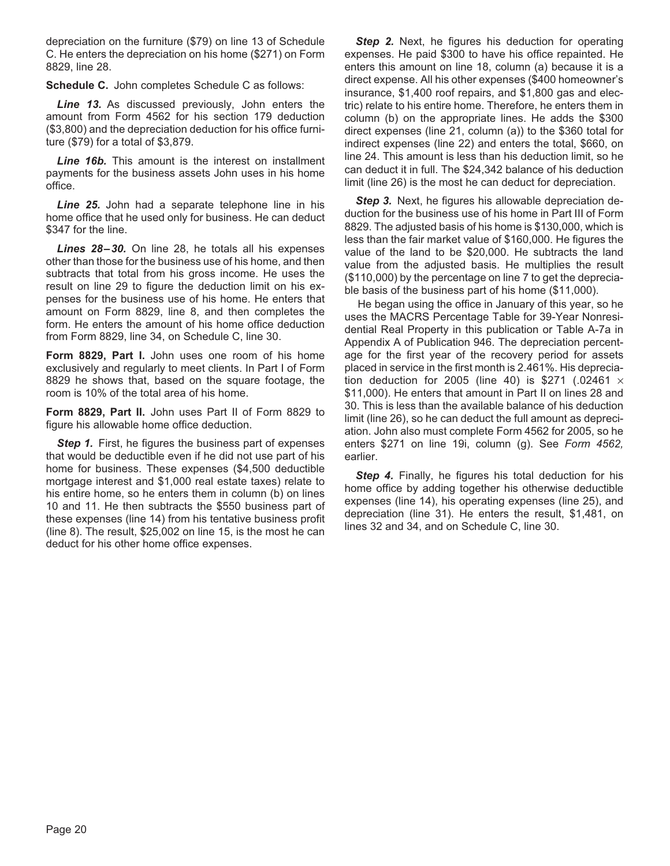depreciation on the furniture (\$79) on line 13 of Schedule *Step 2.* Next, he figures his deduction for operating C. He enters the depreciation on his home (\$271) on Form expenses. He paid \$300 to have his office repainted. He 8829, line 28. enters this amount on line 18, column (a) because it is a

*Line 13.* As discussed previously, John enters the tric) relate to his entire home. Therefore, he enters them in<br>amount from Form 4562 for his section 179 deduction column (b) on the appropriate lines. He adds the \$300 amount from Form 4562 for his section 179 deduction column (b) on the appropriate lines. He adds the \$300<br>(\$3,800) and the depreciation deduction for his office furni-colonect expenses (line 21 column (a)) to the \$360 tota (\$3,800) and the depreciation deduction for his office furni- direct expenses (line 21, column (a)) to the \$360 total for

**Line 16b.** This amount is the interest on installment payments for the business assets John uses in his home payments for the business assets John uses in his home office.

home office that he used only for business. He can deduct duction for the business use of his home in Part III of Form<br>\$347 for the line state in Part III of Form 8829. The adjusted basis of his home is \$130,000, which is

\$347 for the line.<br> **Elines 28–30.** On line 28, he totals all his expenses<br>
of the fair market value of \$160,000. He figures the<br>
of the fair market value of \$160,000. He figures the<br>
of the fair market value of \$160,000.

**Form 8829, Part I.** John uses one room of his home age for the first year of the recovery period for assets exclusively and regularly to meet clients. In Part I of Form placed in service in the first month is 2.461%. His deprecia-8829 he shows that, based on the square footage, the tion deduction for 2005 (line 40) is \$271 (.02461  $\times$ room is 10% of the total area of his home. \$11,000). He enters that amount in Part II on lines 28 and

that would be deductible even if he did not use part of his earlier.<br>home for business. These expenses  $(\$4,500$  deductible mortgage interest and \$1,000 real estate taxes) relate to<br>his entire home, so he enters them in column (b) on lines<br>10 and 11. He then subtracts the \$550 business part of<br>these expenses (line 14) from his tentative busines deduct for his other home office expenses.

**Schedule C.** John completes Schedule C as follows:<br>insurance, \$1,400 roof repairs, and \$1,800 gas and elec-<br>**Line 13.** As discussed previously, John enters the tric) relate to his entire home. Therefore, he enters them in indirect expenses (line 22) and enters the total, \$660, on

*Step 3.* Next, he figures his allowable depreciation de-<br>Inne office that he used only for business. He can deduct duction for the business use of his home in Part III of Form

Form 8829, Part II. John uses Part II of Form 8829 to<br>figure his allowable home office deduction.<br>ation. John also must complete Form 4562 for 2005, so he *Step 1.* First, he figures the business part of expenses enters \$271 on line 19i, column (g). See *Form 4562,*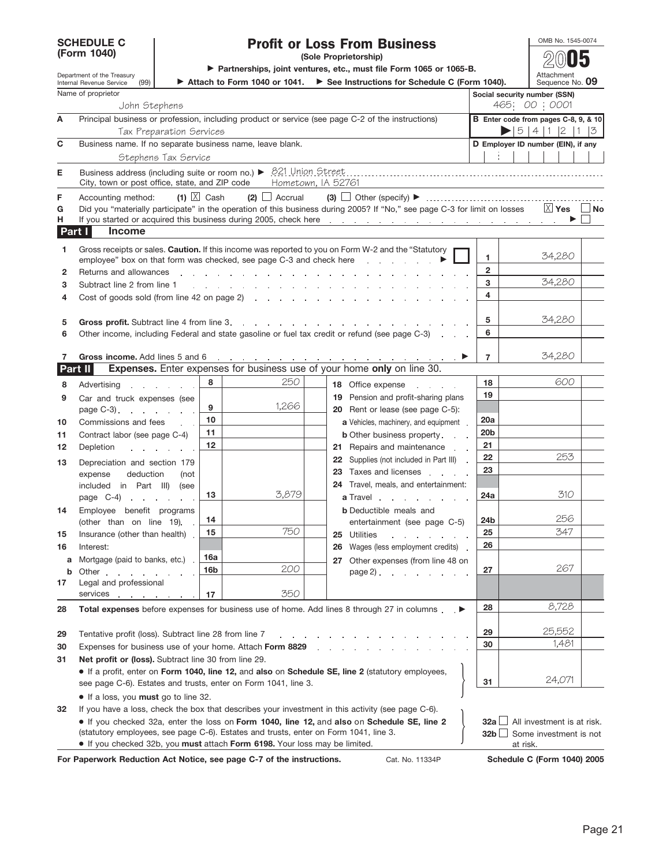### SCHEDULE C <sup>No. 1545-0074</sup><br>
Computer C C Contract Profit or Loss From Business<br>
Contract Contract Contract Contract Contract Contract Contract Contract Contract Contract Contract Contract Contract Contract Contract Contrac

**(Sole Proprietorship)**

|        | Department of the Treasury                                                                                                                                                                 |                   |                                                    |    | ▶ Partnerships, joint ventures, etc., must file Form 1065 or 1065-B.                                                      |                 |                                      | Attachment                                |        |                              |
|--------|--------------------------------------------------------------------------------------------------------------------------------------------------------------------------------------------|-------------------|----------------------------------------------------|----|---------------------------------------------------------------------------------------------------------------------------|-----------------|--------------------------------------|-------------------------------------------|--------|------------------------------|
|        | (99)<br>Internal Revenue Service                                                                                                                                                           |                   | $\blacktriangleright$ Attach to Form 1040 or 1041. |    | See Instructions for Schedule C (Form 1040).                                                                              |                 |                                      | Sequence No. 09                           |        |                              |
|        | Name of proprietor<br>Social security number (SSN)<br>465 00 0001<br>John Stephens                                                                                                         |                   |                                                    |    |                                                                                                                           |                 |                                      |                                           |        |                              |
|        |                                                                                                                                                                                            |                   |                                                    |    |                                                                                                                           |                 |                                      |                                           |        |                              |
| A      | Principal business or profession, including product or service (see page C-2 of the instructions)                                                                                          |                   |                                                    |    |                                                                                                                           |                 | B Enter code from pages C-8, 9, & 10 |                                           |        |                              |
|        | Tax Preparation Services                                                                                                                                                                   |                   |                                                    |    |                                                                                                                           |                 |                                      | $\blacktriangleright$   5   4   1   2   1 |        | 13                           |
| C      | Business name. If no separate business name, leave blank.                                                                                                                                  |                   |                                                    |    |                                                                                                                           |                 | D Employer ID number (EIN), if any   |                                           |        |                              |
|        | Stephens Tax Service                                                                                                                                                                       |                   |                                                    |    |                                                                                                                           |                 |                                      |                                           |        |                              |
| Е      | City, town or post office, state, and ZIP code                                                                                                                                             |                   | Hometown, IA 52761                                 |    |                                                                                                                           |                 |                                      |                                           |        |                              |
| F      | Accounting method:                                                                                                                                                                         | $(1)$ $X$ Cash    | $(2)$ Accrual                                      |    |                                                                                                                           |                 |                                      |                                           |        |                              |
| G      |                                                                                                                                                                                            |                   |                                                    |    | Did you "materially participate" in the operation of this business during 2005? If "No," see page C-3 for limit on losses |                 |                                      |                                           |        | $\boxtimes$ Yes $\Box$ No    |
| н      |                                                                                                                                                                                            |                   |                                                    |    |                                                                                                                           |                 |                                      |                                           |        | $\blacktriangleright$ $\Box$ |
| Part I | <b>Income</b>                                                                                                                                                                              |                   |                                                    |    |                                                                                                                           |                 |                                      |                                           |        |                              |
| 1      | Gross receipts or sales. Caution. If this income was reported to you on Form W-2 and the "Statutory<br>employee" box on that form was checked, see page C-3 and check here                 |                   |                                                    |    | and the state of the                                                                                                      | 1               |                                      |                                           | 34,280 |                              |
| 2      | Returns and allowances                                                                                                                                                                     |                   | the contract of the contract of the                |    |                                                                                                                           | $\mathbf{2}$    |                                      |                                           |        |                              |
| 3      | Subtract line 2 from line 1                                                                                                                                                                |                   | <u>.</u>                                           |    |                                                                                                                           | 3               |                                      |                                           | 34,280 |                              |
| 4      | Cost of goods sold (from line 42 on page 2)                                                                                                                                                |                   |                                                    |    |                                                                                                                           | 4               |                                      |                                           |        |                              |
|        |                                                                                                                                                                                            |                   |                                                    |    |                                                                                                                           |                 |                                      |                                           |        |                              |
|        |                                                                                                                                                                                            |                   |                                                    |    |                                                                                                                           | 5               |                                      | 34,280                                    |        |                              |
| 6      | 5<br><b>Gross profit.</b> Subtract line 4 from line 3<br>the contract of the contract of<br>Other income, including Federal and state gasoline or fuel tax credit or refund (see page C-3) |                   |                                                    |    |                                                                                                                           | 6               |                                      |                                           |        |                              |
|        |                                                                                                                                                                                            |                   |                                                    |    |                                                                                                                           |                 |                                      |                                           |        |                              |
| 7      | Gross income. Add lines 5 and 6                                                                                                                                                            |                   |                                                    |    | $\rightarrow$<br>and a series of the contract of the contract of the contract of the contract of                          | $\overline{7}$  |                                      | 34,280                                    |        |                              |
| Part   | Ш                                                                                                                                                                                          |                   |                                                    |    | Expenses. Enter expenses for business use of your home only on line 30.                                                   |                 |                                      |                                           |        |                              |
|        | Advertising                                                                                                                                                                                | 8                 | 250                                                |    |                                                                                                                           | 18              |                                      |                                           | 600    |                              |
| 8      | and a state of the                                                                                                                                                                         |                   |                                                    |    | 18 Office expense                                                                                                         | 19              |                                      |                                           |        |                              |
| 9      | Car and truck expenses (see                                                                                                                                                                | 9                 | 1,266                                              |    | 19 Pension and profit-sharing plans                                                                                       |                 |                                      |                                           |        |                              |
|        | page $C-3$ , $\qquad \qquad$                                                                                                                                                               | 10                |                                                    |    | 20 Rent or lease (see page C-5):                                                                                          | 20a             |                                      |                                           |        |                              |
| 10     | Commissions and fees                                                                                                                                                                       | 11                |                                                    |    | a Vehicles, machinery, and equipment.                                                                                     | 20 <sub>b</sub> |                                      |                                           |        |                              |
| 11     | Contract labor (see page C-4)                                                                                                                                                              | $12 \overline{ }$ |                                                    |    | <b>b</b> Other business property,                                                                                         | 21              |                                      |                                           |        |                              |
| 12     | Depletion                                                                                                                                                                                  |                   |                                                    | 21 | Repairs and maintenance<br>$\sim$                                                                                         | 22              |                                      |                                           | 253    |                              |
| 13     | Depreciation and section 179                                                                                                                                                               |                   |                                                    |    | <b>22</b> Supplies (not included in Part III)                                                                             | 23              |                                      |                                           |        |                              |
|        | deduction<br>expense<br>(not                                                                                                                                                               |                   |                                                    | 23 | Taxes and licenses example.                                                                                               |                 |                                      |                                           |        |                              |
|        | included in Part III) (see                                                                                                                                                                 | 13                | 3,879                                              |    | 24 Travel, meals, and entertainment:                                                                                      |                 |                                      |                                           | 310    |                              |
|        | page C-4)<br>and the company of the com-                                                                                                                                                   |                   |                                                    |    | a Travel                                                                                                                  | 24a             |                                      |                                           |        |                              |
| 14     | Employee benefit programs                                                                                                                                                                  |                   |                                                    |    | <b>b</b> Deductible meals and                                                                                             |                 |                                      |                                           | 256    |                              |
|        | (other than on line 19).                                                                                                                                                                   | 14                | 750                                                |    | entertainment (see page C-5)                                                                                              | 24 <sub>b</sub> |                                      |                                           | 347    |                              |
| 15     | Insurance (other than health).                                                                                                                                                             | 15                |                                                    | 25 | Utilities                                                                                                                 | 25              |                                      |                                           |        |                              |
| 16     | Interest:                                                                                                                                                                                  |                   |                                                    |    | 26 Wages (less employment credits)                                                                                        | 26              |                                      |                                           |        |                              |
| а      | Mortgage (paid to banks, etc.)                                                                                                                                                             | 16a               |                                                    |    | 27 Other expenses (from line 48 on                                                                                        |                 |                                      |                                           | 267    |                              |
| b      | Other.                                                                                                                                                                                     | 16b               | 200                                                |    | page 2).                                                                                                                  | 27              |                                      |                                           |        |                              |
| 17     | Legal and professional                                                                                                                                                                     |                   | 350                                                |    |                                                                                                                           |                 |                                      |                                           |        |                              |
|        | services                                                                                                                                                                                   | 17                |                                                    |    |                                                                                                                           |                 |                                      |                                           |        |                              |
| 28     |                                                                                                                                                                                            |                   |                                                    |    | Total expenses before expenses for business use of home. Add lines 8 through 27 in columns ▶                              | 28              |                                      |                                           | 8,728  |                              |
|        |                                                                                                                                                                                            |                   |                                                    |    |                                                                                                                           |                 |                                      | 25,552                                    |        |                              |
| 29     | Tentative profit (loss). Subtract line 28 from line 7                                                                                                                                      |                   |                                                    |    |                                                                                                                           | 29              |                                      |                                           | 1.481  |                              |
| 30     | Expenses for business use of your home. Attach Form 8829                                                                                                                                   |                   |                                                    |    |                                                                                                                           | 30              |                                      |                                           |        |                              |
| 31     | Net profit or (loss). Subtract line 30 from line 29.                                                                                                                                       |                   |                                                    |    |                                                                                                                           |                 |                                      |                                           |        |                              |
|        | • If a profit, enter on Form 1040, line 12, and also on Schedule SE, line 2 (statutory employees,                                                                                          |                   |                                                    |    |                                                                                                                           |                 |                                      |                                           | 24,071 |                              |
|        | see page C-6). Estates and trusts, enter on Form 1041, line 3.                                                                                                                             |                   |                                                    |    |                                                                                                                           | 31              |                                      |                                           |        |                              |
|        | • If a loss, you must go to line 32.                                                                                                                                                       |                   |                                                    |    |                                                                                                                           |                 |                                      |                                           |        |                              |
| 32     | If you have a loss, check the box that describes your investment in this activity (see page C-6).                                                                                          |                   |                                                    |    |                                                                                                                           |                 |                                      |                                           |        |                              |
|        | • If you checked 32a, enter the loss on Form 1040, line 12, and also on Schedule SE, line 2                                                                                                |                   |                                                    |    |                                                                                                                           |                 | 32a l                                | All investment is at risk.                |        |                              |
|        | (statutory employees, see page C-6). Estates and trusts, enter on Form 1041, line 3.                                                                                                       |                   |                                                    |    |                                                                                                                           |                 | 32b                                  | Some investment is not                    |        |                              |
|        | . If you checked 32b, you must attach Form 6198. Your loss may be limited.<br>at risk.                                                                                                     |                   |                                                    |    |                                                                                                                           |                 |                                      |                                           |        |                              |

For Paperwork Reduction Act Notice, see page C-7 of the instructions. Cat. No. 11334P Schedule C (Form 1040) 2005

**2005**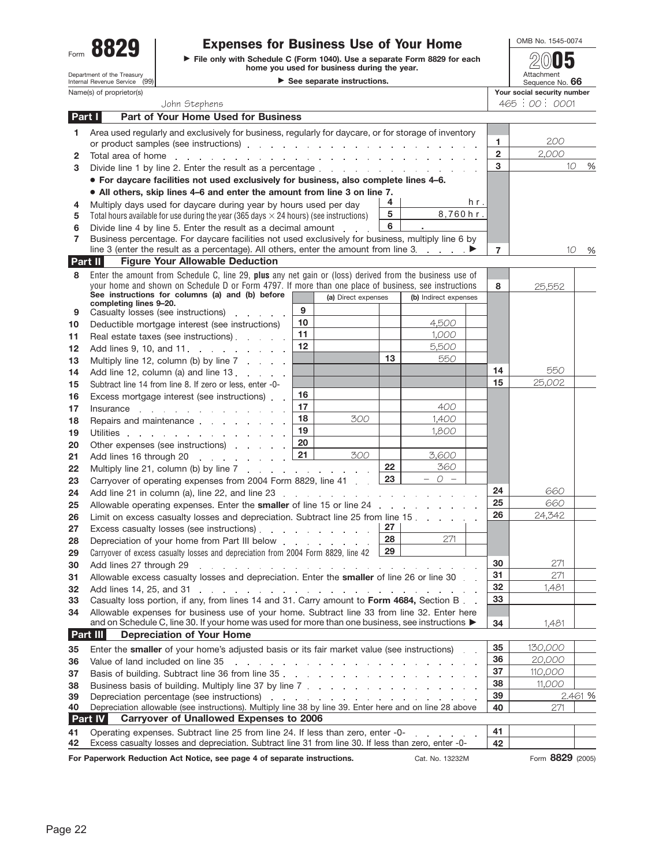Form **8829**

Department of the Treasury Internal Revenue Service (99)

Name(s) of proprietor(s)

### Expenses for Business Use of Your Home

 **File only with Schedule C (Form 1040). Use a separate Form 8829 for each home you used for business during the year.**

**See separate instructions.**

Attachment Sequence No. **66 Your social security number**<br> $\angle 465$  00 0001 **05**

OMB No. 1545-0074

|                                                                                                               | John Stephens                                                                                                                                                                                                                  |             |                     |       |                                                         |                | 465:00:0001       |         |
|---------------------------------------------------------------------------------------------------------------|--------------------------------------------------------------------------------------------------------------------------------------------------------------------------------------------------------------------------------|-------------|---------------------|-------|---------------------------------------------------------|----------------|-------------------|---------|
| Part I                                                                                                        | Part of Your Home Used for Business                                                                                                                                                                                            |             |                     |       |                                                         |                |                   |         |
|                                                                                                               | Area used regularly and exclusively for business, regularly for daycare, or for storage of inventory<br>1.                                                                                                                     |             |                     |       |                                                         |                |                   |         |
|                                                                                                               |                                                                                                                                                                                                                                |             |                     |       |                                                         |                | 200<br>1          |         |
| 2                                                                                                             | Total area of home response to the contract of the contract of the contract of the contract of the contract of the contract of the contract of the contract of the contract of the contract of the contract of the contract of |             | $\overline{2}$      | 2,000 |                                                         |                |                   |         |
| 3                                                                                                             | Divide line 1 by line 2. Enter the result as a percentage                                                                                                                                                                      |             |                     |       |                                                         |                | 10 <sup>°</sup>   | %       |
| • For daycare facilities not used exclusively for business, also complete lines 4-6.                          |                                                                                                                                                                                                                                |             |                     |       |                                                         |                |                   |         |
|                                                                                                               | • All others, skip lines 4-6 and enter the amount from line 3 on line 7.                                                                                                                                                       |             |                     |       |                                                         |                |                   |         |
| 4                                                                                                             | Multiply days used for daycare during year by hours used per day                                                                                                                                                               | hr.         |                     |       |                                                         |                |                   |         |
| 5                                                                                                             | Total hours available for use during the year (365 days $\times$ 24 hours) (see instructions)                                                                                                                                  | $8,760$ hr. |                     |       |                                                         |                |                   |         |
| 6                                                                                                             | Divide line 4 by line 5. Enter the result as a decimal amount                                                                                                                                                                  |             |                     |       |                                                         |                |                   |         |
| 7                                                                                                             | Business percentage. For daycare facilities not used exclusively for business, multiply line 6 by                                                                                                                              |             |                     |       |                                                         |                |                   |         |
|                                                                                                               | line 3 (enter the result as a percentage). All others, enter the amount from line 3. $\Box$                                                                                                                                    |             |                     |       |                                                         | $\overline{7}$ | 10                | %       |
|                                                                                                               | <b>Figure Your Allowable Deduction</b><br>Part II                                                                                                                                                                              |             |                     |       |                                                         |                |                   |         |
| 8                                                                                                             | Enter the amount from Schedule C, line 29, plus any net gain or (loss) derived from the business use of                                                                                                                        |             |                     |       |                                                         |                |                   |         |
|                                                                                                               | your home and shown on Schedule D or Form 4797. If more than one place of business, see instructions                                                                                                                           |             |                     |       |                                                         | 8              | 25,552            |         |
|                                                                                                               | See instructions for columns (a) and (b) before<br>completing lines 9-20.                                                                                                                                                      |             | (a) Direct expenses |       | (b) Indirect expenses                                   |                |                   |         |
| 9                                                                                                             | Casualty losses (see instructions)                                                                                                                                                                                             | 9           |                     |       |                                                         |                |                   |         |
| 10                                                                                                            | Deductible mortgage interest (see instructions)                                                                                                                                                                                | 10          |                     |       | 4,500                                                   |                |                   |         |
| 11                                                                                                            | Real estate taxes (see instructions).                                                                                                                                                                                          | 11          |                     |       | 1,000                                                   |                |                   |         |
| 12                                                                                                            | Add lines 9, 10, and 11.                                                                                                                                                                                                       | 12          |                     |       | 5,500                                                   |                |                   |         |
| 13                                                                                                            | Multiply line 12, column (b) by line 7                                                                                                                                                                                         |             |                     | 13    | 550                                                     |                |                   |         |
| 14                                                                                                            | Add line 12, column (a) and line $13 \cdot \cdot \cdot$                                                                                                                                                                        |             |                     |       |                                                         | 14             | 550               |         |
| 15                                                                                                            | Subtract line 14 from line 8. If zero or less, enter -0-                                                                                                                                                                       |             |                     |       |                                                         |                | 25,002            |         |
| 16                                                                                                            | 16<br>Excess mortgage interest (see instructions).                                                                                                                                                                             |             |                     |       |                                                         |                |                   |         |
| 17                                                                                                            | 17<br>400<br>Insurance                                                                                                                                                                                                         |             |                     |       |                                                         |                |                   |         |
| 18                                                                                                            | 18<br>300<br>1.400<br>Repairs and maintenance expansion of the series of the series of the series of the series of the series of the<br>19<br>1,800                                                                            |             |                     |       |                                                         |                |                   |         |
| 19                                                                                                            | Utilities and a contract of the contract of the Utilities                                                                                                                                                                      |             |                     |       |                                                         |                |                   |         |
| 20                                                                                                            | Other expenses (see instructions) $\ldots$ $\ldots$                                                                                                                                                                            |             |                     |       |                                                         |                |                   |         |
| 21                                                                                                            | Add lines 16 through 20                                                                                                                                                                                                        |             |                     |       |                                                         |                |                   |         |
| 22                                                                                                            | Multiply line 21, column (b) by line 7                                                                                                                                                                                         |             |                     |       |                                                         |                |                   |         |
| 360<br>22<br>$\vert$ 23<br>$ \circ$ $-$<br>Carryover of operating expenses from 2004 Form 8829, line 41<br>23 |                                                                                                                                                                                                                                |             |                     |       |                                                         |                |                   |         |
| 24                                                                                                            | Add line 21 in column (a), line 22, and line 23 $\ldots$ , $\ldots$ , $\ldots$                                                                                                                                                 | 24          | 660                 |       |                                                         |                |                   |         |
| 25                                                                                                            | Allowable operating expenses. Enter the <b>smaller</b> of line 15 or line 24 manuscript of the state of the 24 manuscript                                                                                                      |             |                     |       |                                                         | 25             | 660               |         |
| 26                                                                                                            | Limit on excess casualty losses and depreciation. Subtract line 25 from line 15                                                                                                                                                |             |                     |       |                                                         | 26             | 24.342            |         |
| 27                                                                                                            | 27<br>Excess casualty losses (see instructions) excess casualty losses (see instructions)                                                                                                                                      |             |                     |       |                                                         |                |                   |         |
| 28                                                                                                            | 28<br>271<br>Depreciation of your home from Part III below                                                                                                                                                                     |             |                     |       |                                                         |                |                   |         |
| 29                                                                                                            | $\vert$ 29<br>Carryover of excess casualty losses and depreciation from 2004 Form 8829, line 42                                                                                                                                |             |                     |       |                                                         |                |                   |         |
| 30                                                                                                            | Add lines 27 through 29 $\ldots$ $\ldots$ $\ldots$ $\ldots$ $\ldots$ $\ldots$ $\ldots$ $\ldots$ $\ldots$                                                                                                                       | 30          | 271                 |       |                                                         |                |                   |         |
| 31                                                                                                            | Allowable excess casualty losses and depreciation. Enter the smaller of line 26 or line 30                                                                                                                                     | 31<br>32    | 271                 |       |                                                         |                |                   |         |
| 32                                                                                                            |                                                                                                                                                                                                                                |             |                     |       |                                                         |                | 1,481             |         |
| 33                                                                                                            | 33<br>Casualty loss portion, if any, from lines 14 and 31. Carry amount to Form 4684, Section B.                                                                                                                               |             |                     |       |                                                         |                |                   |         |
| Allowable expenses for business use of your home. Subtract line 33 from line 32. Enter here<br>34             |                                                                                                                                                                                                                                |             |                     |       |                                                         |                |                   |         |
|                                                                                                               | and on Schedule C, line 30. If your home was used for more than one business, see instructions $\blacktriangleright$<br>34<br>1,481<br>Part III                                                                                |             |                     |       |                                                         |                |                   |         |
|                                                                                                               | <b>Depreciation of Your Home</b>                                                                                                                                                                                               |             |                     |       |                                                         | 35             |                   |         |
|                                                                                                               | Enter the smaller of your home's adjusted basis or its fair market value (see instructions).<br>35                                                                                                                             |             |                     |       |                                                         |                | 130,000<br>20,000 |         |
| 36                                                                                                            | Value of land included on line 35                                                                                                                                                                                              |             |                     |       | and the contract of the contract of the contract of the | 36<br>37       | 110,000           |         |
| 37                                                                                                            |                                                                                                                                                                                                                                |             |                     |       |                                                         | 38             | 11,000            |         |
|                                                                                                               | Business basis of building. Multiply line 37 by line 7<br>38                                                                                                                                                                   |             |                     |       |                                                         |                |                   | 2.461 % |
| 40                                                                                                            | 39<br>Depreciation allowable (see instructions). Multiply line 38 by line 39. Enter here and on line 28 above                                                                                                                  |             |                     |       |                                                         |                | 271               |         |
|                                                                                                               | <b>Carryover of Unallowed Expenses to 2006</b><br>Part IV                                                                                                                                                                      |             |                     |       |                                                         | 40             |                   |         |
| 41                                                                                                            | Operating expenses. Subtract line 25 from line 24. If less than zero, enter -0-                                                                                                                                                |             |                     |       |                                                         | 41             |                   |         |
| 42                                                                                                            | Excess casualty losses and depreciation. Subtract line 31 from line 30. If less than zero, enter -0-                                                                                                                           |             |                     |       |                                                         | 42             |                   |         |
|                                                                                                               | Form 8829 (2005)<br>For Paperwork Reduction Act Notice, see page 4 of separate instructions.<br>Cat. No. 13232M                                                                                                                |             |                     |       |                                                         |                |                   |         |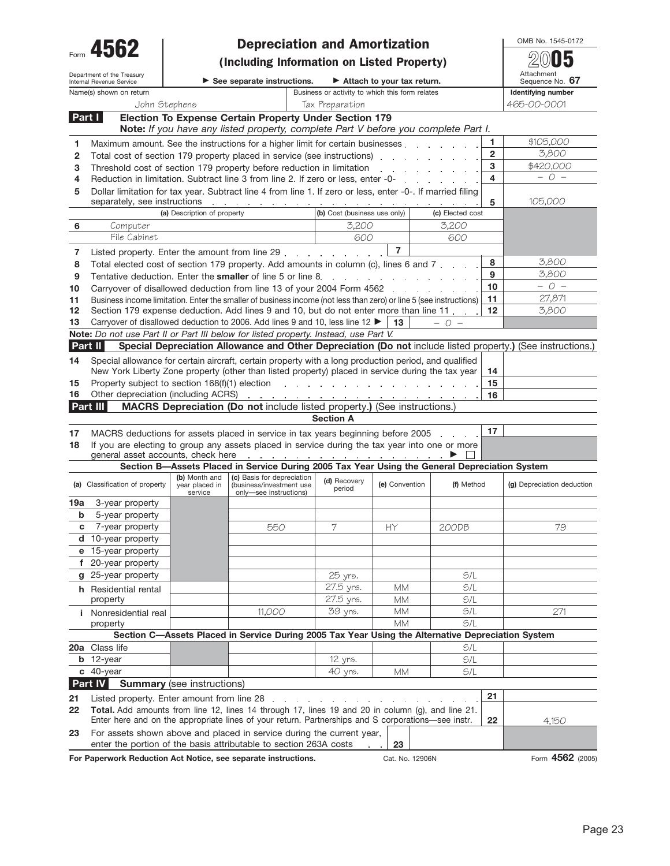### Depreciation and Amortization **Depreciation**

**4562** (Including Information on Listed Property)

John Stephens Tax Preparation 465-00-0001 3,800 3,800 3,800 –0– 27,871 3,800 3,200 600 Computer File Cabinet 4,150 –0– 3,200 600  $\bigcap$ 550 11,000 7 HY 200DB 79 271 105,000 Department of the Treasury Internal Revenue Service Attachment<br>Sequence No. 67  $\blacktriangleright$  See separate instructions. Name(s) shown on return **Identifying number** Business or activity to which this form relates **Identifying number Election To Expense Certain Property Under Section 179 Note:** *If you have any listed property, complete Part V before you complete Part I.* **1** Maximum amount. See the instructions for a higher limit for certain businesses entitled in the state of  $\frac{1}{1}$  \$105,000 **2** Total cost of section 179 property placed in service (see instructions) **2 3** Threshold cost of section 179 property before reduction in limitation **3** \$420,000 **4** Reduction in limitation. Subtract line 3 from line 2. If zero or less, enter -0- **4** Dollar limitation for tax year. Subtract line 4 from line 1. If zero or less, enter -0-. If married filing separately, see instructions **5 5 (a)** Description of property **(b)** Cost (business use only) **(c)** Elected cost **6 7** Listed property. Enter the amount from line 29 **7 8** Total elected cost of section 179 property. Add amounts in column (c), lines 6 and 7  $\ldots$ **9** Tentative deduction. Enter the **smaller** of line 5 or line 8 **9** Carryover of disallowed deduction from line 13 of your 2004 Form 4562 **10** Carryover of disallowed deduction from line 13 of your 2004 Form 4562<br>**11** Business income limitation. Enter the smaller of business income (not less than zero) or line 5 (see instructions) 11 **11** Business income limitation. Enter the smaller of business income (not less than zero) or line 5 (see instructions) **11 12** Section 179 expense deduction. Add lines 9 and 10, but do not enter more than line 11 **12 13** Carryover of disallowed deduction to 2006. Add lines 9 and 10, less line 12 ▶ | 13 **Note:** *Do not use Part II or Part III below for listed property. Instead, use Part V.* **MACRS Depreciation (Do not** include listed property.**)** (See instructions.) **(b)** Month and year placed in service **(c)** Basis for depreciation (business/investment use only—see instructions) **(d)** Recovery (a) Classification of property | year placed in | (b) convention | **(c)** Convention | (f) Method | (g) Depreciation deduction **(a)** Defined |  $\frac{1}{2}$  |  $\frac{1}{2}$  |  $\frac{1}{2}$  |  $\frac{1}{2}$  |  $\frac{1}{2}$  |  $\frac{1}{2}$  |  $\frac{1}{2}$ **Section B—Assets Placed in Service During 2005 Tax Year Using the General Depreciation System 19a** 3-year property **b** 5-year property **c** 7-year property **d** 10-year property **e** 15-year property **f** 20-year property **h** Residential rental **EXECUTE:** 27.5 yrs. MM S/L property 27.5 yrs. | MM | S/L **i** Nonresidential real **interval** the model of the model of the series of the series of the series of the series property MM S/L **Section C—Assets Placed in Service During 2005 Tax Year Using the Alternative Depreciation System 20a** Class life S/L **b** 12-year 12 yrs. 12 yrs. 12 yrs. **c** 40-year **c a c a c a c a c a c a c a c a c a c a c a c a c a c a c a c a c a c a c d c a c d c c d c d c d c d c d Special Depreciation Allowance and Other Depreciation (Do not** include listed property.**)** (See instructions.) **17** MACRS deductions for assets placed in service in tax years beginning before 2005 **10 a.m.**  $\boxed{17}$ **15** Property subject to section 168(f)(1) election **15 16** Other depreciation (including ACRS) **16 16 16 16 16 Part IV** Summary (see instructions) **21** Listed property. Enter amount from line 28 **21 Total.** Add amounts from line 12, lines 14 through 17, lines 19 and 20 in column (g), and line 21. Enter here and on the appropriate lines of your return. Partnerships and S corporations—see instr. **22 22 23** For assets shown above and placed in service during the current year, enter the portion of the basis attributable to section 263A costs **23 Part I Part II Part III Attach to your tax return.** 39 yrs. **Section A 18** If you are electing to group any assets placed in service during the tax year into one or more overal asset accounts check here general asset accounts, check here **g** 25-year property **b** 25 yrs. S/L<br> **h** Residential rental Special allowance for certain aircraft, certain property with a long production period, and qualified New York Liberty Zone property (other than listed property) placed in service during the tax year **14 14 2005**

**For Paperwork Reduction Act Notice, see separate instructions.** Cat. No. 12906N Form **4562** (2005)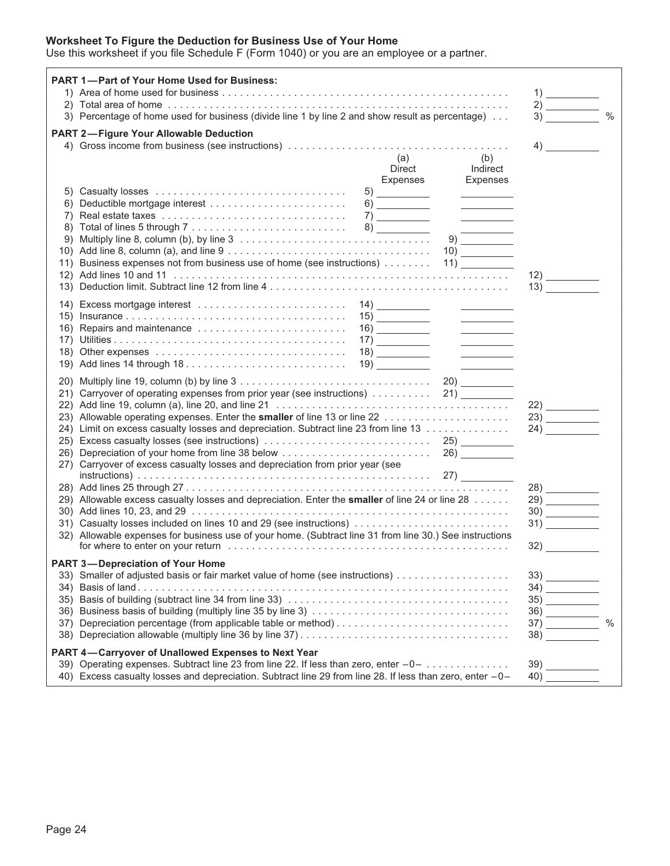### **Worksheet To Figure the Deduction for Business Use of Your Home**

Use this worksheet if you file Schedule F (Form 1040) or you are an employee or a partner.

|          | <b>PART 1-Part of Your Home Used for Business:</b><br>3) Percentage of home used for business (divide line 1 by line 2 and show result as percentage)                                                                                                                                                                                                                                                          | $\frac{0}{0}$<br>3)                                                                         |
|----------|----------------------------------------------------------------------------------------------------------------------------------------------------------------------------------------------------------------------------------------------------------------------------------------------------------------------------------------------------------------------------------------------------------------|---------------------------------------------------------------------------------------------|
|          | <b>PART 2-Figure Your Allowable Deduction</b>                                                                                                                                                                                                                                                                                                                                                                  |                                                                                             |
|          | (a)<br>(b)<br><b>Direct</b><br>Indirect<br>Expenses<br>Expenses                                                                                                                                                                                                                                                                                                                                                | 4)                                                                                          |
| 5)<br>7) | the control of the con-<br>9) Multiply line 8, column (b), by line $3 \ldots \ldots \ldots \ldots \ldots \ldots \ldots \ldots \ldots \ldots$<br>11) Business expenses not from business use of home (see instructions) 11) ________                                                                                                                                                                            |                                                                                             |
|          |                                                                                                                                                                                                                                                                                                                                                                                                                | (13)                                                                                        |
|          | 14) Excess mortgage interest<br>16) Repairs and maintenance<br><u> The Community of the Community of the Community of the Community of the Community of the Community of the Community of the Community of the Community of the Community of the Community of the Community of the Community of</u><br>$\frac{1}{\sqrt{2\pi}}\left(\frac{1}{\sqrt{2\pi}}\right)^{1/2}\left(\frac{1}{\sqrt{2\pi}}\right)^{1/2}$ |                                                                                             |
|          | 24) Limit on excess casualty losses and depreciation. Subtract line 23 from line 13<br>26) Depreciation of your home from line 38 below<br>27) Carryover of excess casualty losses and depreciation from prior year (see                                                                                                                                                                                       | 24)                                                                                         |
|          | 29) Allowable excess casualty losses and depreciation. Enter the smaller of line 24 or line 28<br>31) Casualty losses included on lines 10 and 29 (see instructions)<br>32) Allowable expenses for business use of your home. (Subtract line 31 from line 30.) See instructions                                                                                                                                | 32)                                                                                         |
|          | <b>PART 3-Depreciation of Your Home</b><br>33) Smaller of adjusted basis or fair market value of home (see instructions)                                                                                                                                                                                                                                                                                       | $33) \underline{\hspace{2cm}}$<br>$\frac{36}{37} \underline{\hspace{1cm}}$<br>$\frac{0}{0}$ |
|          | PART 4-Carryover of Unallowed Expenses to Next Year<br>39) Operating expenses. Subtract line 23 from line 22. If less than zero, enter $-0$ -<br>40) Excess casualty losses and depreciation. Subtract line 29 from line 28. If less than zero, enter -0-                                                                                                                                                      |                                                                                             |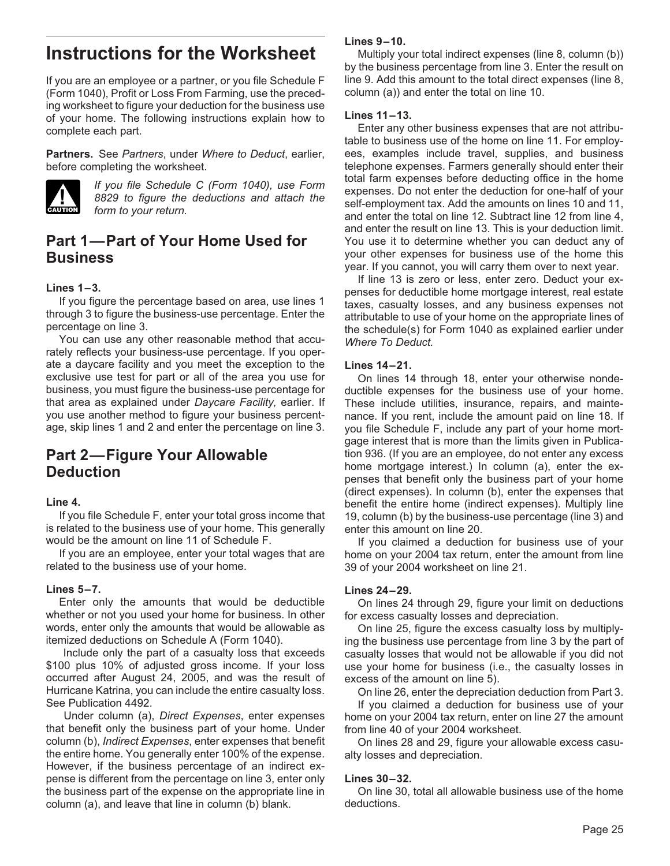## **Instructions for the Worksheet** Multiply your total indirect expenses (line 8, column (b))

(Form 1040), Profit or Loss From Farming, use the preceding worksheet to figure your deduction for the business use<br>of your home. The following instructions explain how to Lines 11-13. complete each part. Enter any other business expenses that are not attribu-

**Partners.** See *Partners*, under *Where to Deduct*, earlier, ees, examples include travel, supplies, and business before completing the worksheet. the state of the telephone expenses. Farmers generally should enter their their



rately reflects your business-use percentage. If you operate a daycare facility and you meet the exception to the **Lines 14–21.** exclusive use test for part or all of the area you use for On lines 14 through 18, enter your otherwise nonde-<br>business, you must figure the business-use percentage for ductible expenses for the business use of your home. business, you must figure the business-use percentage for ductible expenses for the business use of your home.<br>that area as explained under *Daycare Facility*, earlier. If These include utilities, insurance, repairs, and m that area as explained under *Daycare Facility,* earlier. If These include utilities, insurance, repairs, and mainteyou use another method to figure your business percent-<br>age, skip lines 1 and 2 and enter the percentage on line 3. vou file Schedule F, include any part of your home mort-

is related to the business use of your home. This generally enter this amount on line 20.<br>would be the amount on line 11 of Schedule F. [[[[[[[[[[[[[[[]]]]]]

related to the business use of your home. 39 of your 2004 worksheet on line 21.

whether or not you used your home for business. In other for excess casualty losses and depreciation. words, enter only the amounts that would be allowable as  $\Box$  On line 25, figure the excess casualty loss by multiply-

Include only the part of a casualty loss that exceeds casualty losses that would not be allowable if you did not<br>\$100 plus 10% of adjusted gross income. If your loss use your home for business (i.e., the casualty losses in occurred after August 24, 2005, and was the result of excess of the amount on line 5). Hurricane Katrina, you can include the entire casualty loss. On line 26, enter the depreciation deduction from Part 3.

that benefit only the business part of your home. Under from line 40 of your 2004 worksheet. column (b), *Indirect Expenses*, enter expenses that benefit On lines 28 and 29, figure your allowable excess casuthe entire home. You generally enter 100% of the expense. alty losses and depreciation. However, if the business percentage of an indirect expense is different from the percentage on line 3, enter only **Lines 30–32.** the business part of the expense on the appropriate line in On line 30, total all allowable business use of the home column (a), and leave that line in column (b) blank. deductions.

### **Lines 9–10.**

by the business percentage from line 3. Enter the result on If you are an employee or a partner, or you file Schedule  $F$  line 9. Add this amount to the total direct expenses (line 8, (Form 1040). Profit or Loss From Farming, use the preced-<br>(Form 1040). Profit or Loss From Farmin

table to business use of the home on line 11. For employ-If you file Schedule C (Form 1040), use Form<br>8829 to figure the deductions and attach the<br>form to your return.<br>form to your return. and enter the total on line 12. Subtract line 12 from line 4, and enter the result on line 13. This is your deduction limit. **Part 1—Part of Your Home Used for** You use it to determine whether you can deduct any of **Business** your other expenses for business use of the home this year. If you cannot, you will carry them over to next year.

Lines 1–3.<br>
If line 13 is zero or less, enter zero. Deduct your expenses for deductible home mortgage interest, real estate<br>
through 3 to figure the business-use percentage. Enter the<br>
percentage on line 3.<br>
You can use a

you file Schedule F, include any part of your home mortgage interest that is more than the limits given in Publica-**Part 2—Figure Your Allowable** tion 936. (If you are an employee, do not enter any excess<br> **Poduction**<br> **Poduction Deduction**<br>**Deduction Deduction penses that benefit only the business part of your home** penses that benefit only the business part of your home (direct expenses). In column (b), enter the expenses that Line 4.<br>If you file Schedule F, enter your total gross income that 19, column (b) by the business-use percentage (line 3) and 19, column (b) by the business-use percentage (line 3) and

If you claimed a deduction for business use of your If you are an employee, enter your total wages that are home on your 2004 tax return, enter the amount from line

### **Lines 5–7. Lines 24–29.**

Enter only the amounts that would be deductible On lines 24 through 29, figure your limit on deductions

itemized deductions on Schedule A (Form 1040). ing the business use percentage from line 3 by the part of use your home for business (i.e., the casualty losses in

Publication 4492.<br>Under column (a), *Direct Expenses*, enter expenses bome on your 2004 tax return, enter on line 27 the amount home on your 2004 tax return, enter on line 27 the amount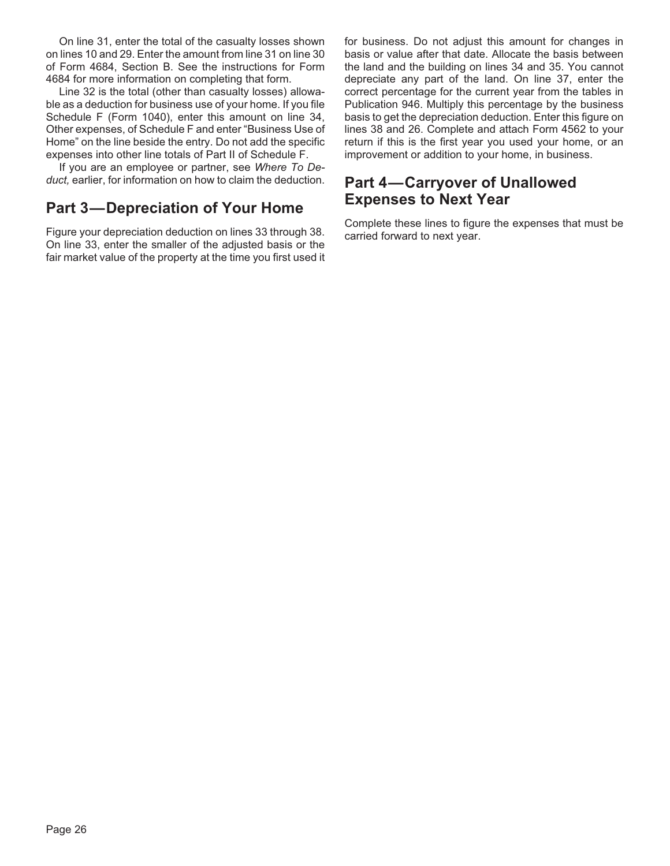On line 31, enter the total of the casualty losses shown for business. Do not adjust this amount for changes in on lines 10 and 29. Enter the amount from line 31 on line 30 basis or value after that date. Allocate the basis between

ble as a deduction for business use of your home. If you file Publication 946. Multiply this percentage by the business Schedule F (Form 1040), enter this amount on line 34, basis to get the depreciation deduction. Enter this figure on Other expenses, of Schedule F and enter "Business Use of lines 38 and 26. Complete and attach Form 4562 to your Home" on the line beside the entry. Do not add the specific return if this is the first year you used your home, or an expenses into other line totals of Part II of Schedule F. improvement or addition to your home, in business.

If you are an employee or partner, see *Where To De-*

### **Part 3—Depreciation of Your Home**

fair market value of the property at the time you first used it

of Form 4684, Section B. See the instructions for Form the land and the building on lines 34 and 35. You cannot 4684 for more information on completing that form. depreciate any part of the land. On line 37, enter the Line 32 is the total (other than casualty losses) allowa- correct percentage for the current year from the tables in

# *duct,* earlier, for information on how to claim the deduction. **Part 4—Carryover of Unallowed**<br>**Expenses to Next Year**

Figure your depreciation deduction on lines 33 through 38. Complete these lines to figure the expenses that must be<br>On line 33, enter the smaller of the adjusted basis or the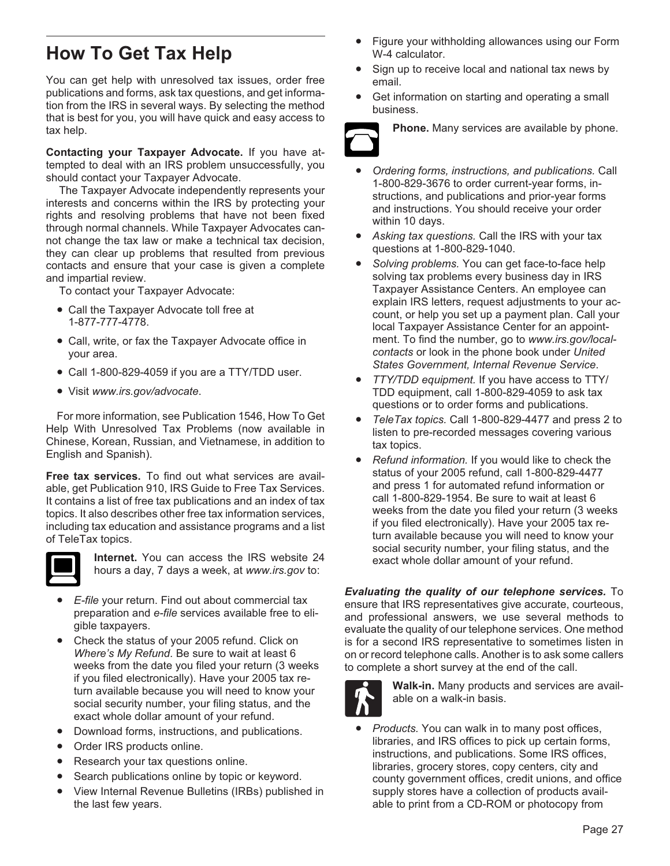# How To Get Tax Help W-4 calculator.

You can get help with unresolved tax issues, order free email.<br>
publications and forms, ask tax questions, and get informapublications and forms, ask tax questions, and get informa-<br>tion from the IRS in several ways. By selecting the method business. that is best for you, you will have quick and easy access to tax help. **Phone.** Many services are available by phone. tax help.

**Contacting your Taxpayer Advocate.** If you have at-

tempted to deal with an IRS problem unsuccessfully, you<br>
should contact your Taxpayer Advocate.<br>
The Taxpayer Advocate independently represents your<br>
interests and concerns within the IRS by protecting your<br>
rights and res they can clear up problems that resulted from previous<br>contacts and ensure that your case is given a complete  $\bullet$  *Solving problems.* You can get face-to-face help

- 
- 
- 
- 

For more information, see Publication 1546, How To Get Help With Unresolved Tax Problems (now available in Help With Unresolved Tax Problems (now available in Chinese, Korean, Russian, and Vietnamese, in addition to Law to

**Free tax services.** To find out what services are avail-<br>able, get Publication 910, IRS Guide to Free Tax Services. and press 1 for automated refund information or



- 
- weeks from the date you filed your return (3 weeks to complete a short survey at the end of the call.<br>if you filed electronically). Have your 2005 tax return available because you will need to know your<br>social security number, your filing status, and the<br>social security number, your filing status, and the exact whole dollar amount of your refund.
- 
- 
- 
- 
- View Internal Revenue Bulletins (IRBs) published in supply stores have a collection of products availthe last few years. able to print from a CD-ROM or photocopy from
- Figure your withholding allowances using our Form
- Sign up to receive local and national tax news by
- 



- 
- 
- and impartial review.<br>To contact your Taxpayer Advocate: The solving tax problems every business day in IRS<br>Taxpayer Assistance Centers. An employee can Taxpayer Assistance Centers. An employee can<br>explain IRS letters, request adjustments to your ac-■ Call the Taxpayer Advocate toll free at count, or help you set up a payment plan. Call your 1-877-777-4778.<br>1-877-777-4778. local Taxpayer Assistance Center for an appoint-• Call, write, or fax the Taxpayer Advocate office in ment. To find the number, go to www.irs.gov/localyour area. *contacts* or look in the phone book under *United*
	- Call 1-800-829-4059 if you are a TTY/TDD user.<br>• *TTY/TDD equipment.* If you have access to TTY/<br>• *TDD equipment. call 1-800-829-4059 to ask tax* • Visit *www.irs.gov/advocate*. TDD equipment, call 1-800-829-4059 to ask tax questions or to order forms and publications.
		-
- able, get Publication 910, IRS Guide to Free Tax Services.<br>
It contains a list of free tax publications and an index of tax<br>
topics. It also describes other free tax information services,<br>
including tax education and assis

• *E-file* your return. Find out about commercial tax<br>
preparation and *e-file* services available free to eli-<br>
gible taxpayers.<br>
• Check the status of your 2005 refund. Click on<br>
• Check the status of your 2005 refund. C Check the status of your 2005 refund. Click on it is for a second IRS representative to sometimes listen in Where's My Refund. Be sure to wait at least 6 *Where's My Refund*. Be sure to wait at least 6 on or record telephone calls. Another is to ask some callers weeks from the date you filed your return (3 weeks to complete a short survey at the end of the call.



• Download forms, instructions, and publications. • *Products*. You can walk in to many post offices,<br>
libraries, and IRS offices to pick up certain forms, ● Order IRS products online.<br>
■ libraries, and IRS offices to pick up certain forms,<br>
■ libraries, and publications. Some IRS offices,<br>
Search publications online by topic or keyword.<br>
■ libraries, grocery stores, copy ce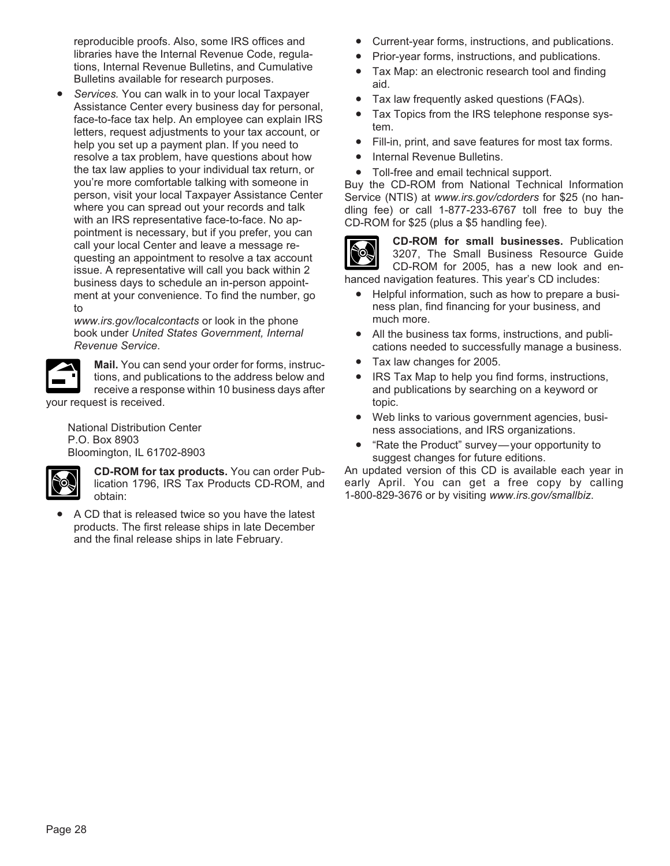Varies have the Internal Revenue Code, regula-<br>
tions, Internal Revenue Bulletins, and Cumulative<br>
Bulletins available for research purposes.<br>
Services. You can walk in to your local Taxpayer<br>
Assistance Center every busin letters, request adjustments to your tax account, or<br>help you set up a payment plan. If you need to **•** Fill-in, print, and save features for most tax forms.<br>resolve a tax problem, have questions about how • Internal Reven resolve a tax problem, have questions about how  $\bullet$ the tax law applies to your individual tax return, or<br>
you're more comfortable talking with someone in<br>
person, visit your local Taxpayer Assistance Center<br>
where you can spread out your records and talk<br>
with an IRS repre business days to schedule an in-person appoint-<br>ment at your convenience. To find the number, go  $\bullet$  Helpful information, such as how to prepare a busi-

*www.irs.gov/localcontacts* or look in the phone.

**Mail.** You can send your order for forms, instruc- • Tax law changes for 2005. receive a response within 10 business days after your request is received. The set of the set of the set of the set of the set of the set of the set of the set of the set of the set of the set of the set of the set of the set of the set of the set of the set of the set o



• A CD that is released twice so you have the latest products. The first release ships in late December and the final release ships in late February.

- reproducible proofs. Also, some IRS offices and Current-year forms, instructions, and publications.
	-
	-
	-
	-
	-
	-
	-



- to to ness plan, find financing for your business, and<br>www.irs.gov/localcontacts or look in the phone much more.
- book under *United States Government, Internal* All the business tax forms, instructions, and publications needed to successfully manage a business.
	-
	- tions, and publications to the address below and <br>
	 IRS Tax Map to help you find forms, instructions,<br>
	receive a response within 10 business days after<br>
	in and publications by searching on a keyword or
- Mational Distribution Center<br>
Meb links to various government agencies, busi-<br>
Meb links to various government agencies, busi-<br>
mess associations, and IRS organizations.<br>
Meb links to various government agencies, busi-<br>
me
	-

**CD-ROM for tax products.** You can order Pub- An updated version of this CD is available each year in lication 1796, IRS Tax Products CD-ROM, and early April. You can get a free copy by calling obtain: 1-800-829-3676 or by visiting *www.irs.gov/smallbiz*.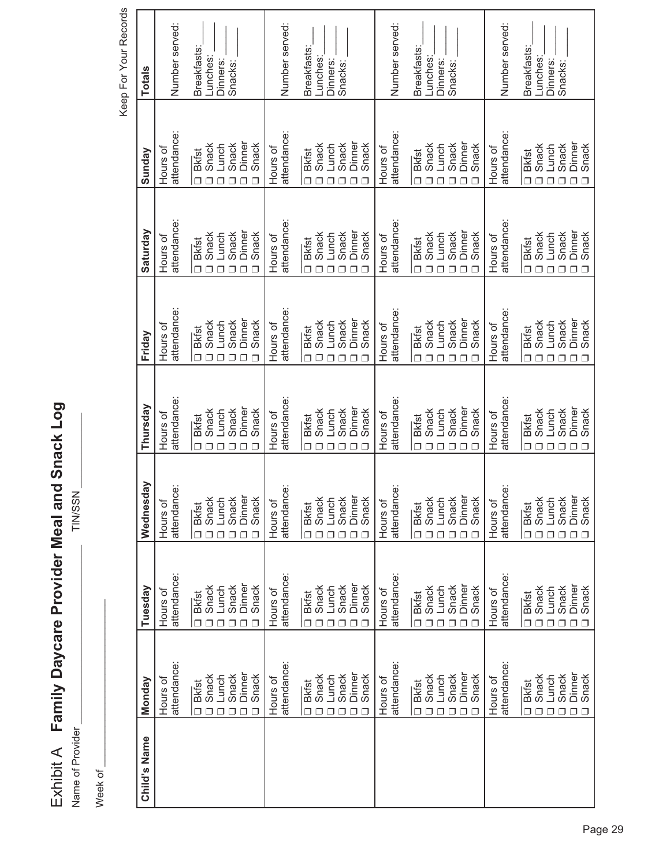Exhibit A Family Daycare Provider Meal and Snack Log Exhibit A **Family Daycare Provider Meal and Snack Log**

TIN/SSN

Name of Provider \_\_\_\_\_\_\_\_\_\_\_\_\_\_\_\_\_\_\_\_\_\_\_\_\_\_\_\_\_\_\_ TIN/SSN \_\_\_\_\_\_\_\_\_\_\_\_\_ Name of Provider

Week of Week of Keep For Your Records Keep For Your Records

| Child's Name | Monday                                                     | Tuesday                                                    | day<br>Wednes                                                   | Thursday                                                          | Friday                                                                   | Saturday                                                          | Sunday                                                            | <b>Totals</b>                                  |
|--------------|------------------------------------------------------------|------------------------------------------------------------|-----------------------------------------------------------------|-------------------------------------------------------------------|--------------------------------------------------------------------------|-------------------------------------------------------------------|-------------------------------------------------------------------|------------------------------------------------|
|              | attendance:<br>Hours of                                    | attendance:<br>Hours of                                    | attendance:<br>Hours of                                         | attendance:<br>Hours of                                           | attendance:<br>Hours of                                                  | attendance:<br>Hours of                                           | attendance:<br>Hours of                                           | Number served:                                 |
|              | Dinner<br>Snack<br>Snack<br>Snack<br>Lunch<br><b>Bkfst</b> | Dinner<br>Snack<br>Snack<br>Snack<br>Lunch<br><b>Bkfst</b> | Snack<br>Lunch<br>Snack<br>Dinner<br>Snack<br><b>Bkfst</b>      | Dinner<br>Snack<br>Lunch<br><b>Snack</b><br>Snack<br><b>Bkfst</b> | Dinner<br><b>Snack</b><br>Snack<br>Lunch<br>Snack<br><b>Bkfst</b>        | Dinner<br>Snack<br>Snack<br>Snack<br>Lunch<br><b>Bkfst</b>        | Dinner<br><b>Snack</b><br>Lunch<br>Snack<br>Snack<br><b>Bkfst</b> | Breakfasts:<br>Lunches:<br>Dinners:<br>Snacks: |
|              | attendance:<br>Hours of                                    | attendance:<br>Hours of                                    | attendance:<br>Hours of                                         | attendance:<br>Hours of                                           | attendance:<br>Hours of                                                  | attendance:<br>Hours of                                           | attendance:<br>Hours of                                           | Number served:                                 |
|              | Dinner<br>Snack<br>Snack<br>Lunch<br>Snack<br><b>Bkfst</b> | Snack<br>Dinner<br>Snack<br>Lunch<br>Snack<br><b>Bkfst</b> | Snack<br>Lunch<br>Snack<br>Dinner<br>Snack<br><b>Bkfst</b>      | Dinner<br><b>Snack</b><br>Snack<br>Lunch<br>Snack<br><b>Bkfst</b> | Dinner<br><b>Snack</b><br>Snack<br>Lunch<br>Snack<br><b>Bkfst</b>        | Dinner<br><b>Snack</b><br>Snack<br>Lunch<br>Snack<br><b>Bkfst</b> | Dinner<br>Snack<br>Snack<br>Lunch<br>Snack<br><b>Bkfst</b>        | Breakfasts:<br>Lunches:<br>Dinners:<br>Snacks: |
|              | attendance:<br>Hours of                                    | attendance:<br>Hours of                                    | attendance:<br>Hours of                                         | attendance:<br>Hours of                                           | attendance:<br>Hours of                                                  | attendance:<br>Hours of                                           | attendance:<br>Hours of                                           | Number served:                                 |
|              | Snack<br>Dinner<br>Snack<br>Lunch<br>Snack<br><b>Bkfst</b> | Snack<br>Dinner<br>Lunch<br>Snack<br>Snack<br><b>Bkfst</b> | Snack<br>Lunch<br>Snack<br>Dinner<br>Snack<br><b>Bkfst</b>      | Dinner<br>Lunch<br><b>Snack</b><br>Snack<br>Snack<br><b>Bkfst</b> | Dinner<br>Snack<br>Lunch<br>Snack<br><b>Snack</b><br><b>Bkfst</b>        | Dinner<br>Lunch<br>Snack<br>Snack<br><b>Snack</b><br><b>Bkfst</b> | Dinner<br>Snack<br>Lunch<br>Snack<br><b>Snack</b><br><b>Bkfst</b> | Breakfasts:<br>Lunches:<br>Dinners:<br>Snacks: |
|              | attendance:<br>Hours of                                    | attendance:<br>Hours of                                    | attendance:<br>Hours of                                         | attendance:<br>Hours of                                           | attendance:<br>Hours of                                                  | attendance:<br>Hours of                                           | attendance:<br>Hours of                                           | Number served:                                 |
|              | Dinner<br>Snack<br>Snack<br>Lunch<br>Snack<br><b>Bkfst</b> | Dinner<br>Snack<br>Snack<br>Lunch<br>Snack<br><b>Bkfst</b> | Snack<br>Lunch<br>Snack<br>Dinner<br>Snack<br><b>Bkfst</b><br>٦ | Dinner<br>Snack<br>Lunch<br>Snack<br>Snack<br><b>Bkfst</b>        | Dinner<br><b>Snack</b><br><b>Snack</b><br>Lunch<br>Snack<br><b>Bkfst</b> | Dinner<br><b>Snack</b><br>Snack<br>Lunch<br>Snack<br><b>Bkfst</b> | Dinner<br>Snack<br>Snack<br>Lunch<br><b>Snack</b><br><b>Bkfst</b> | Breakfasts:<br>Lunches:<br>Dinners:<br>Snacks: |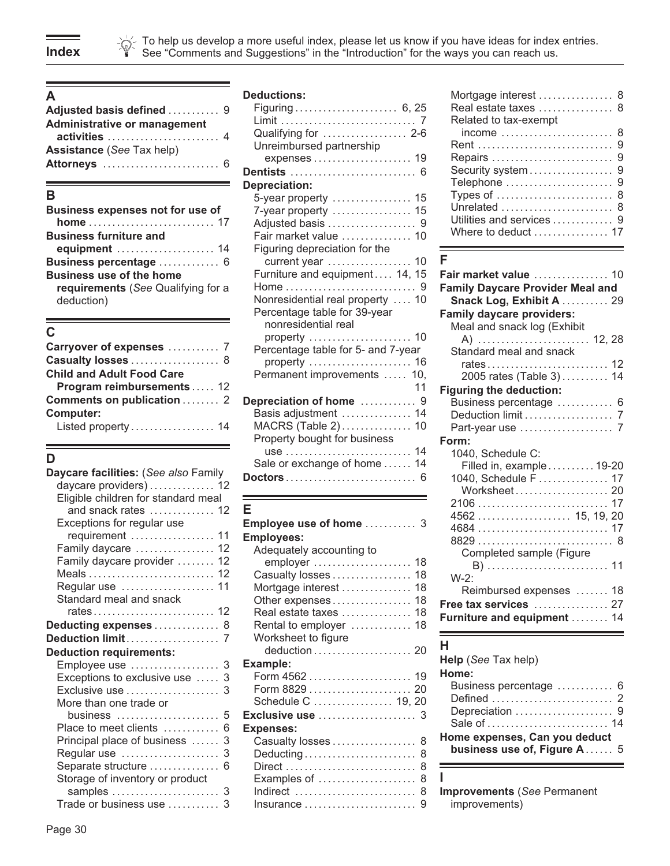To help us develop a more useful index, please let us know if you have ideas for index entries. **Index** See "Comments and Suggestions" in the "Introduction" for the ways you can reach us.

| Adjusted basis defined  9<br>Administrative or management |  |
|-----------------------------------------------------------|--|
| activities $\ldots \ldots \ldots \ldots \ldots \ldots$    |  |
| <b>Assistance</b> (See Tax help)                          |  |

| Business expenses not for use of   | 7-year property               |
|------------------------------------|-------------------------------|
|                                    | Adjusted basis                |
| <b>Business furniture and</b>      | Fair market value             |
| equipment  14                      | Figuring depreciation for the |
| Business percentage  6             | current year                  |
| <b>Business use of the home</b>    | Furniture and equipment       |
| requirements (See Qualifying for a |                               |
| deduction)                         | Nonresidential real property  |

| Carryover of expenses  7<br>Casualty losses  8 | Percentage table for 5- and 7-year                 | Standard meal and snack        |
|------------------------------------------------|----------------------------------------------------|--------------------------------|
| <b>Child and Adult Food Care</b>               | Permanent improvements  10,                        | 2005 rates (Table 3) 14        |
| <b>Program reimbursements 12</b>               |                                                    | <b>Figuring the deduction:</b> |
|                                                | Comments on publication  2 Depreciation of home  9 | Business percentage  6         |
| Computer:                                      | Basis adjustment  14                               |                                |
|                                                | MACRS (Table 2) 10                                 |                                |

| Daycare facilities: (See also Family<br>daycare providers) 12 |                                                                | ו וווסט ווו, סגמוווµוס………. וט־צט<br>1040, Schedule F  17<br>Worksheet 20 |
|---------------------------------------------------------------|----------------------------------------------------------------|--------------------------------------------------------------------------|
| Eligible children for standard meal                           |                                                                |                                                                          |
| and snack rates $\dots\dots\dots\dots$ 12                     | Е                                                              |                                                                          |
| Exceptions for regular use                                    | Employee use of home  3                                        |                                                                          |
| requirement  11                                               | <b>Employees:</b>                                              |                                                                          |
| Family daycare  12                                            | Adequately accounting to                                       | Completed sample (Figure                                                 |
| Family daycare provider  12                                   | employer  18                                                   |                                                                          |
|                                                               | Casualty losses 18                                             | $W-2$ :                                                                  |
| Regular use  11                                               | Mortgage interest  18                                          | Reimbursed expenses  18                                                  |
| Standard meal and snack                                       | Other expenses 18                                              | Free tax services  27                                                    |
|                                                               | Real estate taxes  18                                          | Furniture and equipment  14                                              |
| Deducting expenses  8                                         | Rental to employer  18                                         |                                                                          |
|                                                               | Worksheet to figure                                            |                                                                          |
| <b>Deduction requirements:</b>                                | $deduction \dots \dots \dots \dots \dots \dots \dots 20$       | н                                                                        |
| Employee use  3                                               | <b>Example:</b>                                                | Help (See Tax help)                                                      |
| Exceptions to exclusive use  3                                |                                                                | Home:                                                                    |
|                                                               | Form 8829  20                                                  | Business percentage  6                                                   |
| More than one trade or                                        | Schedule C  19, 20                                             |                                                                          |
| business  5                                                   | Exclusive use $\ldots$ , $\ldots$ , $\ldots$ , $\ldots$ 3      |                                                                          |
| Place to meet clients  6                                      | <b>Expenses:</b>                                               |                                                                          |
| Principal place of business  3                                | Casualty losses 8                                              | Home expenses, Can you deduct                                            |
| Regular use  3                                                |                                                                | business use of, Figure A 5                                              |
| Separate structure  6                                         |                                                                |                                                                          |
| Storage of inventory or product                               |                                                                |                                                                          |
|                                                               |                                                                | <b>Improvements (See Permanent</b>                                       |
| Trade or business use  3                                      | $Insurance \ldots \ldots \ldots \ldots \ldots \ldots \ldots 9$ | improvements)                                                            |
|                                                               |                                                                |                                                                          |

| A                                       | <b>Dequctions:</b>                 | Mortgage Interest  8                    |
|-----------------------------------------|------------------------------------|-----------------------------------------|
| Adjusted basis defined  9               |                                    | Real estate taxes  8                    |
| <b>Administrative or management</b>     |                                    | Related to tax-exempt                   |
| activities  4                           | Qualifying for  2-6                |                                         |
| Assistance (See Tax help)               | Unreimbursed partnership           |                                         |
| <b>Attorneys</b> 6                      | expenses  19                       |                                         |
|                                         |                                    |                                         |
|                                         | <b>Depreciation:</b>               | Telephone  9                            |
| в                                       |                                    | Types of  8                             |
| <b>Business expenses not for use of</b> | 7-year property  15                |                                         |
|                                         |                                    | Utilities and services  9               |
| <b>Business furniture and</b>           | Fair market value  10              | Where to deduct  17                     |
| equipment  14                           | Figuring depreciation for the      |                                         |
| Business percentage  6                  | current year  10                   | F                                       |
| <b>Business use of the home</b>         | Furniture and equipment 14, 15     |                                         |
| requirements (See Qualifying for a      |                                    | <b>Family Daycare Provider Meal and</b> |
| deduction)                              | Nonresidential real property  10   | Snack Log, Exhibit A  29                |
|                                         | Percentage table for 39-year       | <b>Family daycare providers:</b>        |
| C                                       | nonresidential real                | Meal and snack log (Exhibit             |
|                                         |                                    |                                         |
|                                         | Percentage table for 5- and 7-year | Standard meal and snack                 |
| Casualty losses  8                      |                                    |                                         |
| <b>Child and Adult Food Care</b>        | Permanent improvements  10,        | 2005 rates (Table 3)  14                |
| Program reimbursements  12              | 11                                 | <b>Figuring the deduction:</b>          |
| Comments on publication  2              | Depreciation of home  9            | Business percentage  6                  |
| <b>Computer:</b>                        | Basis adjustment  14               |                                         |
|                                         | MACRS (Table 2) 10                 |                                         |
|                                         | Property bought for business       | Form:                                   |
| D                                       | use  14                            | 1040, Schedule C:                       |
|                                         | Sale or exchange of home  14       | Filled in, example  19-20               |
| Daycare facilities: (See also Family    | Doctors                            | $1040$ Schodule $F = 17$                |

|                                                   |                                                          | 4562          |
|---------------------------------------------------|----------------------------------------------------------|---------------|
| Exceptions for regular use                        | <b>Employee use of home</b> 3                            | 4684          |
| requirement  11                                   | <b>Employees:</b>                                        | 8829          |
| Family daycare  12                                | Adequately accounting to                                 | Сc            |
| Family daycare provider  12                       | employer  18                                             |               |
|                                                   | Casualty losses 18                                       | $W-2$ :       |
| Regular use  11                                   | Mortgage interest  18                                    | Re            |
| Standard meal and snack                           | Other expenses 18                                        | Free ta       |
|                                                   | Real estate taxes  18                                    |               |
| ducting expenses 8                                | Rental to employer  18                                   | Furnit        |
|                                                   | Worksheet to figure                                      |               |
| duction requirements:                             | $deduction \ldots \ldots \ldots \ldots \ldots \ldots 20$ | н             |
| Employee use  3                                   | Example:                                                 | Help (S       |
| Exceptions to exclusive use  3                    | Form 4562  19                                            | Home:         |
| Exclusive use  3                                  | Form 8829  20                                            | <b>Busi</b>   |
| More than one trade or                            | Schedule C  19, 20                                       | Defir         |
| business  5                                       |                                                          | Depr          |
| Place to meet clients  6                          | <b>Expenses:</b>                                         | Sale          |
| Principal place of business  3                    | Casualty losses 8                                        | Home          |
| Regular use  3                                    | Deducting 8                                              | busi          |
| Separate structure  6                             |                                                          |               |
| Storage of inventory or product                   | Examples of  8                                           |               |
|                                                   | Indirect  8                                              | <i>Improv</i> |
| Trade or business use $\ldots \ldots \ldots \, 3$ |                                                          | impro         |
|                                                   |                                                          |               |

### **A Deductions:** Mortgage interest ................ 8 Real estate taxes . . . . . . . . . . . . . . 8 Related to tax-exempt Qualifying for . . . . . . . . . . . . . . . . . . 2-6 income ........................ 8 **activities** ........................ 4 Unreimbursed partnership Rent ............................. 9 **Assistance** (*See* Tax help) **Dentists** ........................... 6 Security system .................. 9 **Unrelated ............................... 8** Utilities and services . . . . . . . . . . . . 9 Where to deduct . . . . . . . . . . . . . . . 17

| <b>Business use of the home</b><br>requirements (See Qualifying for a<br>deduction)                                                                                                                                                                    | Furniture and equipment 14, 15<br>Nonresidential real property  10<br>Percentage table for 39-year                                                                                                                         | Fair market value  10<br><b>Family Daycare Provider Meal and</b><br>Snack Log, Exhibit A  29<br><b>Family daycare providers:</b>                                                                      |
|--------------------------------------------------------------------------------------------------------------------------------------------------------------------------------------------------------------------------------------------------------|----------------------------------------------------------------------------------------------------------------------------------------------------------------------------------------------------------------------------|-------------------------------------------------------------------------------------------------------------------------------------------------------------------------------------------------------|
| С<br>Carryover of expenses ………… 7<br>Casualty losses  8<br><b>Child and Adult Food Care</b><br>Program reimbursements  12<br>Comments on publication  2<br><b>Computer:</b><br>Listed property 14                                                      | nonresidential real<br>Percentage table for 5- and 7-year<br>Permanent improvements  10,<br>11<br>Depreciation of home  9<br>Basis adjustment  14<br>MACRS (Table 2) 10                                                    | Meal and snack log (Exhibit<br>Standard meal and snack<br>2005 rates (Table 3)  14<br><b>Figuring the deduction:</b><br>Business percentage  6<br>Deduction limit $\ldots, \ldots, \ldots, \ldots, 7$ |
| D<br>Daycare facilities: (See also Family<br>daycare providers) 12                                                                                                                                                                                     | Property bought for business<br>use  14<br>Sale or exchange of home  14                                                                                                                                                    | Form:<br>1040, Schedule C:<br>Filled in, example 19-20<br>1040, Schedule F  17<br>Worksheet 20                                                                                                        |
| Eligible children for standard meal<br>and snack rates $\ldots$ , , ,  12<br>Exceptions for regular use<br>requirement  11<br>Family daycare  12<br>Family daycare provider  12<br>Regular use  11<br>Standard meal and snack<br>Deducting expenses  8 | Е<br><b>Employee use of home</b> 3<br><b>Employees:</b><br>Adequately accounting to<br>employer  18<br>Casualty losses 18<br>Mortgage interest  18<br>Other expenses 18<br>Real estate taxes  18<br>Rental to employer  18 | Completed sample (Figure<br>$W-2$ :<br>Reimbursed expenses  18<br>Free tax services  27<br>Furniture and equipment  14                                                                                |

| eduction requirements: when the control of the control of the control of the control of the control of the control of the control of the control of the control of the control of the control of the control of the control of |                                                                        |                               |
|--------------------------------------------------------------------------------------------------------------------------------------------------------------------------------------------------------------------------------|------------------------------------------------------------------------|-------------------------------|
| Employee use  3 <b>Example:</b>                                                                                                                                                                                                |                                                                        | Help (See Tax help)           |
|                                                                                                                                                                                                                                | Exceptions to exclusive use …… 3    Form 4562 …………………… 19 <b>Home:</b> |                               |
|                                                                                                                                                                                                                                |                                                                        | Business percentage  6        |
|                                                                                                                                                                                                                                |                                                                        |                               |
|                                                                                                                                                                                                                                |                                                                        |                               |
| Place to meet clients  6 Expenses:                                                                                                                                                                                             |                                                                        |                               |
|                                                                                                                                                                                                                                | Principal place of business  3 Casualty losses  8                      | Home expenses, Can you deduct |
|                                                                                                                                                                                                                                |                                                                        | business use of, Figure A 5   |
|                                                                                                                                                                                                                                |                                                                        |                               |